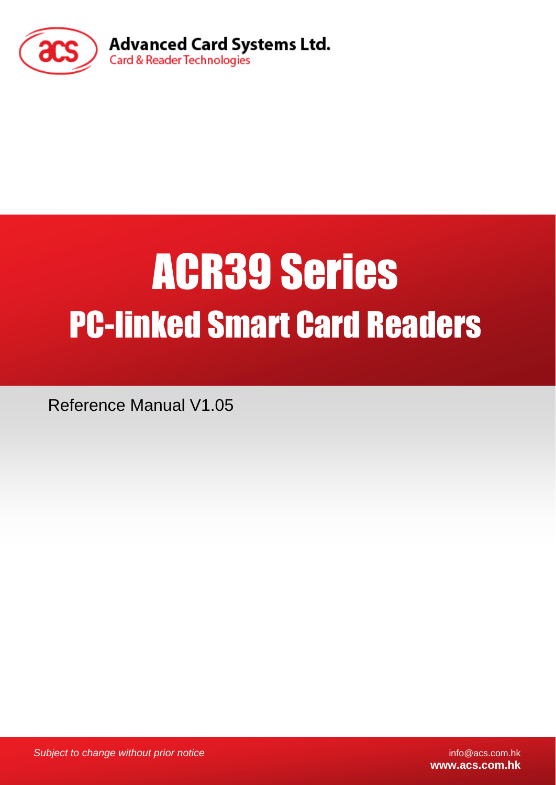

# ACR39 Series PC-linked Smart Card Readers

Reference Manual V1.05

*Subject to change without prior notice* info@acs.com.hk

**www.acs.com.hk**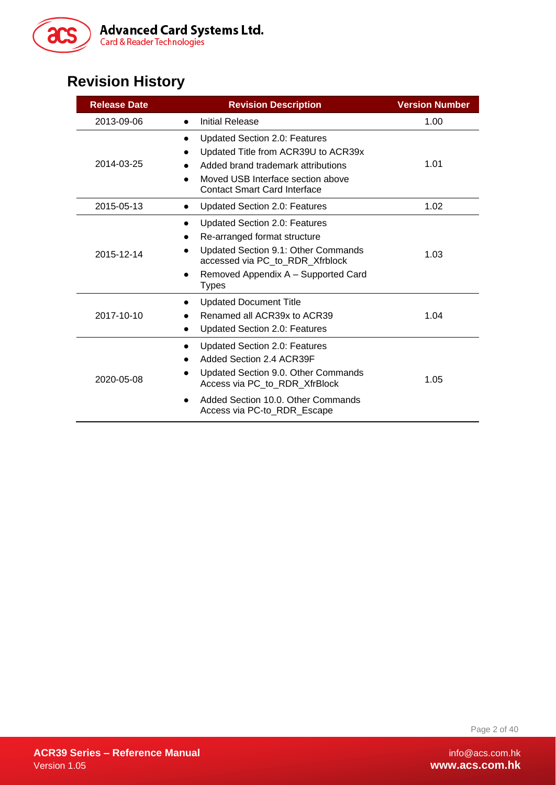

# **Revision History**

| <b>Release Date</b> | <b>Revision Description</b>                                                                                                                                                                                                             | <b>Version Number</b> |
|---------------------|-----------------------------------------------------------------------------------------------------------------------------------------------------------------------------------------------------------------------------------------|-----------------------|
| 2013-09-06          | Initial Release<br>$\bullet$                                                                                                                                                                                                            | 1.00                  |
| 2014-03-25          | <b>Updated Section 2.0: Features</b><br>$\bullet$<br>Updated Title from ACR39U to ACR39x<br>Added brand trademark attributions<br>Moved USB Interface section above<br><b>Contact Smart Card Interface</b>                              | 1.01                  |
| 2015-05-13          | <b>Updated Section 2.0: Features</b><br>$\bullet$                                                                                                                                                                                       | 1.02                  |
| 2015-12-14          | <b>Updated Section 2.0: Features</b><br>Re-arranged format structure<br>Updated Section 9.1: Other Commands<br>accessed via PC_to_RDR_Xfrblock<br>Removed Appendix A - Supported Card<br>$\bullet$<br><b>Types</b>                      | 1.03                  |
| 2017-10-10          | <b>Updated Document Title</b><br>$\bullet$<br>Renamed all ACR39x to ACR39<br>$\bullet$<br><b>Updated Section 2.0: Features</b><br>$\bullet$                                                                                             | 1.04                  |
| 2020-05-08          | <b>Updated Section 2.0: Features</b><br>$\bullet$<br>Added Section 2.4 ACR39F<br>Updated Section 9.0. Other Commands<br>Access via PC_to_RDR_XfrBlock<br>Added Section 10.0. Other Commands<br>$\bullet$<br>Access via PC-to_RDR_Escape | 1.05                  |

Page 2 of 40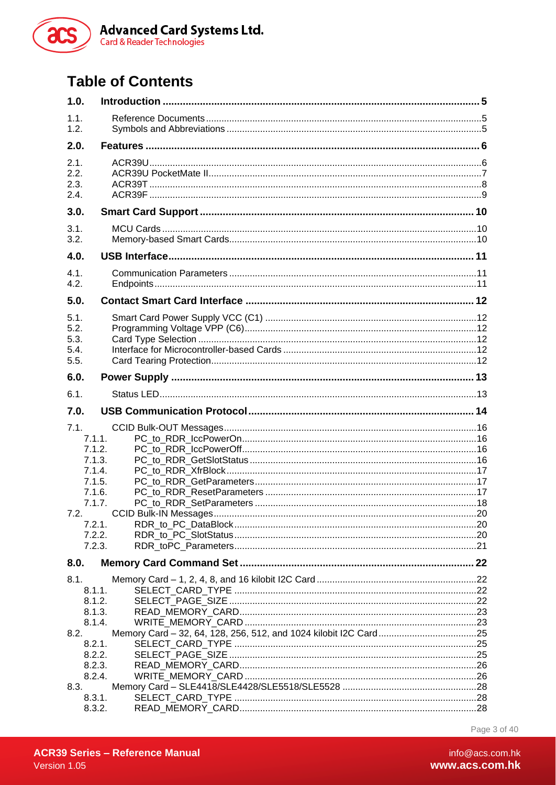

# **Table of Contents**

| 1.0.                                                                                                             |  |
|------------------------------------------------------------------------------------------------------------------|--|
| 1.1.<br>1.2.                                                                                                     |  |
| 2.0.                                                                                                             |  |
| 2.1.<br>2.2.<br>2.3.<br>2.4.                                                                                     |  |
| 3.0.                                                                                                             |  |
| 3.1.<br>3.2.                                                                                                     |  |
| 4.0.                                                                                                             |  |
| 4.1.<br>4.2.                                                                                                     |  |
| 5.0.                                                                                                             |  |
| 5.1.<br>5.2.<br>5.3.<br>5.4.<br>5.5.                                                                             |  |
| 6.0.                                                                                                             |  |
| 6.1.                                                                                                             |  |
| 7.0.                                                                                                             |  |
| 7.1.<br>7.1.1.<br>7.1.2.<br>7.1.3.<br>7.1.4.<br>7.1.5.<br>7.1.6.<br>7.1.7.<br>7.2.<br>7.2.1.<br>7.2.2.<br>7.2.3. |  |
| 8.0.                                                                                                             |  |
| 8.1.<br>8.1.1.<br>8.1.2.<br>8.1.3.<br>8.1.4.                                                                     |  |
| 8.2.<br>8.2.1.<br>8.2.2.                                                                                         |  |
| 8.2.3.<br>8.2.4.<br>8.3.<br>8.3.1.                                                                               |  |
| 8.3.2.                                                                                                           |  |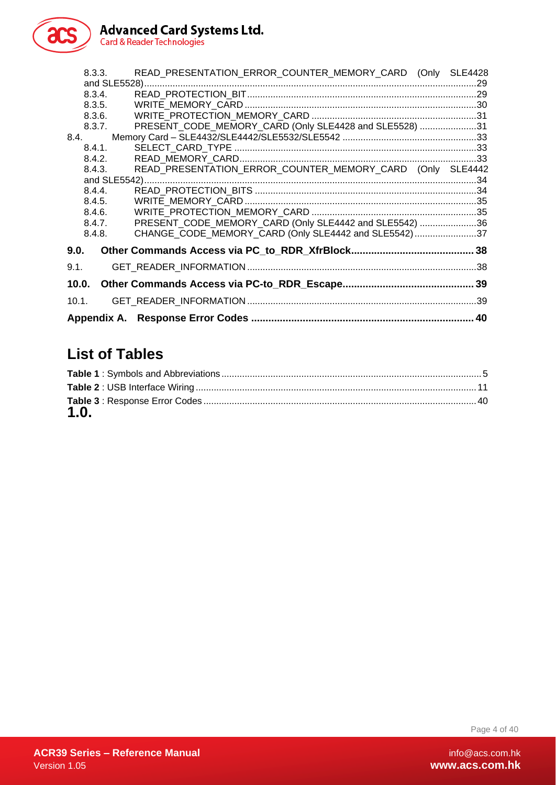

8.3.3. READ PRESENTATION ERROR COUNTER MEMORY CARD (Only SLE4428 [and SLE5528\).................................................................................................................................29](#page-28-0) 8.3.4. [READ\\_PROTECTION\\_BIT.........................................................................................29](#page-28-1) 8.3.5. WRITE\_MEMORY\_CARD [..........................................................................................30](#page-29-0) 8.3.6. WRITE\_PROTECTION\_MEMORY\_CARD [................................................................31](#page-30-0) 8.3.7. [PRESENT\\_CODE\\_MEMORY\\_CARD \(Only SLE4428 and SLE5528\)](#page-30-1) .....................31 8.4. Memory Card – [SLE4432/SLE4442/SLE5532/SLE5542](#page-32-0) ....................................................33 8.4.1. SELECT\_CARD\_TYPE [..............................................................................................33](#page-32-1) 8.4.2. [READ\\_MEMORY\\_CARD............................................................................................33](#page-32-2) 8.4.3. READ\_PRESENTATION\_ERROR\_COUNTER\_MEMORY\_CARD (Only SLE4442) [and SLE5542\).................................................................................................................................34](#page-33-0) 8.4.4. READ\_PROTECTION\_BITS [......................................................................................34](#page-33-1) 8.4.5. WRITE\_MEMORY\_CARD [..........................................................................................35](#page-34-0) 8.4.6. WRITE\_PROTECTION\_MEMORY\_CARD [................................................................35](#page-34-1) 8.4.7. PRESENT CODE MEMORY CARD (Only SLE4442 and SLE5542) ......................36 8.4.8. CHANGE\_CODE\_MEMORY\_CARD (Only SLE4442 and SLE5542).......................37 **9.0. [Other Commands Access via PC\\_to\\_RDR\\_XfrBlock...........................................](#page-37-0) 38** 9.1. GET\_READER\_INFORMATION [.........................................................................................38](#page-37-1) **10.0. [Other Commands Access via PC-to\\_RDR\\_Escape..............................................](#page-38-0) 39** 10.1. GET\_READER\_INFORMATION [.........................................................................................39](#page-38-1)

**Appendix A. Response Error Codes [..............................................................................](#page-39-0) 40**

# **List of Tables**

| 1.0. |  |
|------|--|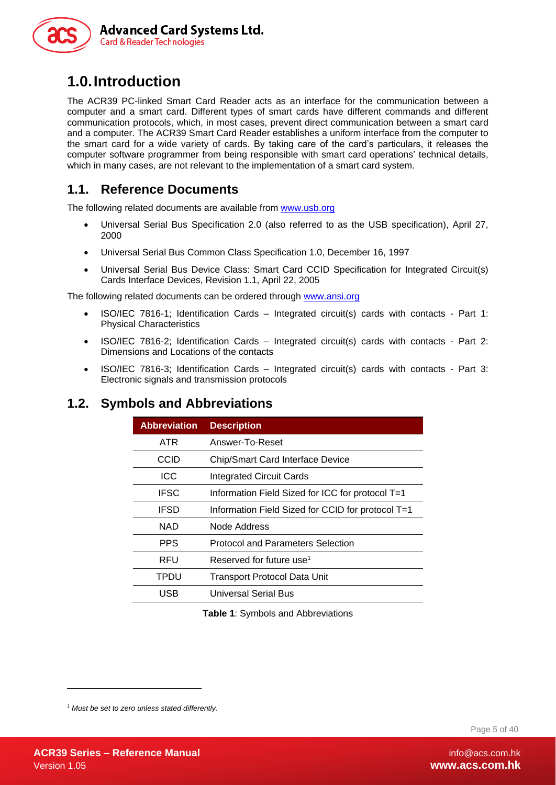

# <span id="page-4-0"></span>**1.0.Introduction**

The ACR39 PC-linked Smart Card Reader acts as an interface for the communication between a computer and a smart card. Different types of smart cards have different commands and different communication protocols, which, in most cases, prevent direct communication between a smart card and a computer. The ACR39 Smart Card Reader establishes a uniform interface from the computer to the smart card for a wide variety of cards. By taking care of the card's particulars, it releases the computer software programmer from being responsible with smart card operations' technical details, which in many cases, are not relevant to the implementation of a smart card system.

#### <span id="page-4-1"></span>**1.1. Reference Documents**

The following related documents are available from [www.usb.org](http://www.usb.org/)

- Universal Serial Bus Specification 2.0 (also referred to as the USB specification), April 27, 2000
- Universal Serial Bus Common Class Specification 1.0, December 16, 1997
- Universal Serial Bus Device Class: Smart Card CCID Specification for Integrated Circuit(s) Cards Interface Devices, Revision 1.1, April 22, 2005

The following related documents can be ordered through [www.ansi.org](http://www.ansi.org/)

- ISO/IEC 7816-1; Identification Cards Integrated circuit(s) cards with contacts Part 1: Physical Characteristics
- ISO/IEC 7816-2; Identification Cards Integrated circuit(s) cards with contacts Part 2: Dimensions and Locations of the contacts
- ISO/IEC 7816-3; Identification Cards Integrated circuit(s) cards with contacts Part 3: Electronic signals and transmission protocols

#### <span id="page-4-2"></span>**1.2. Symbols and Abbreviations**

| <b>Abbreviation</b> | <b>Description</b>                                |
|---------------------|---------------------------------------------------|
| <b>ATR</b>          | Answer-To-Reset                                   |
| CCID                | <b>Chip/Smart Card Interface Device</b>           |
| <b>ICC</b>          | <b>Integrated Circuit Cards</b>                   |
| <b>IFSC</b>         | Information Field Sized for ICC for protocol T=1  |
| <b>IFSD</b>         | Information Field Sized for CCID for protocol T=1 |
| <b>NAD</b>          | Node Address                                      |
| <b>PPS</b>          | <b>Protocol and Parameters Selection</b>          |
| RFU                 | Reserved for future use <sup>1</sup>              |
| <b>TPDU</b>         | <b>Transport Protocol Data Unit</b>               |
| USB                 | <b>Universal Serial Bus</b>                       |

**Table 1**: Symbols and Abbreviations

<span id="page-4-3"></span>*<sup>1</sup> Must be set to zero unless stated differently.*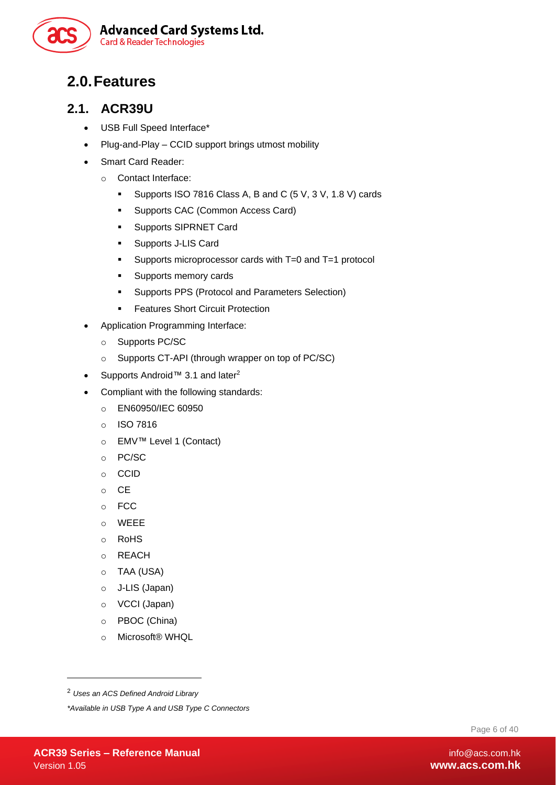

# <span id="page-5-0"></span>**2.0.Features**

#### <span id="page-5-1"></span>**2.1. ACR39U**

- USB Full Speed Interface\*
- Plug-and-Play CCID support brings utmost mobility
- Smart Card Reader:
	- o Contact Interface:
		- Supports ISO 7816 Class A, B and C (5 V, 3 V, 1.8 V) cards
		- Supports CAC (Common Access Card)
		- Supports SIPRNET Card
		- Supports J-LIS Card
		- Supports microprocessor cards with T=0 and T=1 protocol
		- Supports memory cards
		- Supports PPS (Protocol and Parameters Selection)
		- **EXECT:** Features Short Circuit Protection
- Application Programming Interface:
	- o Supports PC/SC
	- o Supports CT-API (through wrapper on top of PC/SC)
- Supports Android™ 3.1 and later<sup>2</sup>
- Compliant with the following standards:
	- o EN60950/IEC 60950
	- o ISO 7816
	- o EMV™ Level 1 (Contact)
	- o PC/SC
	- o CCID
	- o CE
	- o FCC
	- o WEEE
	- o RoHS
	- o REACH
	- o TAA (USA)
	- o J-LIS (Japan)
	- o VCCI (Japan)
	- o PBOC (China)
	- o Microsoft® WHQL

Page 6 of 40

<sup>2</sup> *Uses an ACS Defined Android Library*

*<sup>\*</sup>Available in USB Type A and USB Type C Connectors*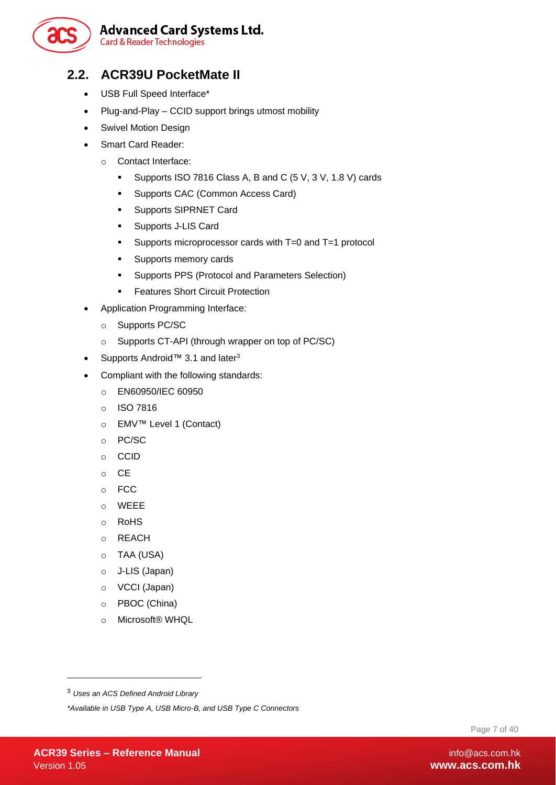

# **Advanced Card Systems Ltd.**

**Card & Reader Technologies** 

#### <span id="page-6-0"></span>**2.2. ACR39U PocketMate II**

- USB Full Speed Interface\*
- Plug-and-Play CCID support brings utmost mobility
- Swivel Motion Design
- Smart Card Reader:
	- o Contact Interface:
		- Supports ISO 7816 Class A, B and C (5 V, 3 V, 1.8 V) cards
		- **E** Supports CAC (Common Access Card)
		- **Supports SIPRNET Card**
		- Supports J-LIS Card
		- Supports microprocessor cards with T=0 and T=1 protocol
		- Supports memory cards
		- Supports PPS (Protocol and Parameters Selection)
		- Features Short Circuit Protection
- Application Programming Interface:
	- o Supports PC/SC
	- o Supports CT-API (through wrapper on top of PC/SC)
- Supports Android™ 3.1 and later<sup>3</sup>
- Compliant with the following standards:
	- o EN60950/IEC 60950
	- o ISO 7816
	- o EMV™ Level 1 (Contact)
	- o PC/SC
	- o CCID
	- o CE
	- o FCC
	- o WEEE
	- o RoHS
	- o REACH
	- o TAA (USA)
	- o J-LIS (Japan)
	- o VCCI (Japan)
	- o PBOC (China)
	- o Microsoft® WHQL

Page 7 of 40

<sup>3</sup> *Uses an ACS Defined Android Library*

*<sup>\*</sup>Available in USB Type A, USB Micro-B, and USB Type C Connectors*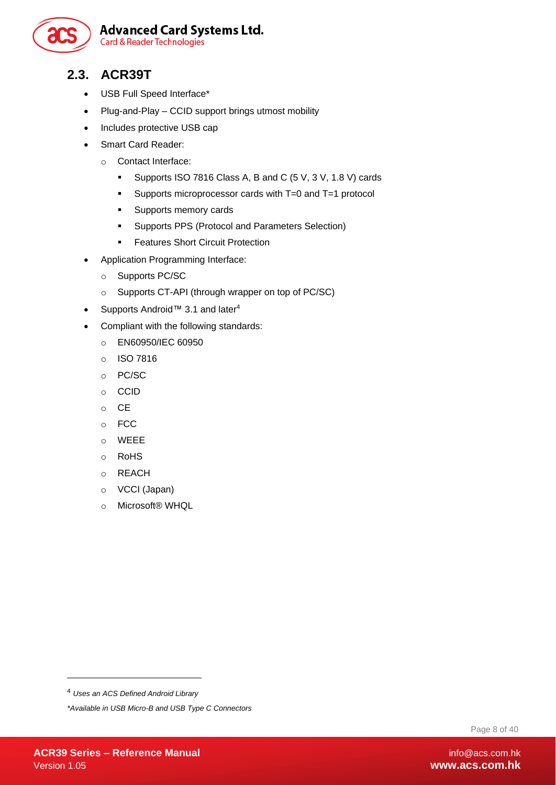

#### <span id="page-7-0"></span>**2.3. ACR39T**

- USB Full Speed Interface\*
- Plug-and-Play CCID support brings utmost mobility
- Includes protective USB cap
- Smart Card Reader:
	- o Contact Interface:
		- Supports ISO 7816 Class A, B and C (5 V, 3 V, 1.8 V) cards
		- Supports microprocessor cards with T=0 and T=1 protocol
		- Supports memory cards
		- Supports PPS (Protocol and Parameters Selection)
		- **EXECUTE: Features Short Circuit Protection**
- Application Programming Interface:
	- o Supports PC/SC
	- o Supports CT-API (through wrapper on top of PC/SC)
- Supports Android™ 3.1 and later<sup>4</sup>
- Compliant with the following standards:
	- o EN60950/IEC 60950
	- o ISO 7816
	- o PC/SC
	- o CCID
	- o CE
	- o FCC
	- o WEEE
	- o RoHS
	- o REACH
	- o VCCI (Japan)
	- o Microsoft® WHQL

Page 8 of 40

<sup>4</sup> *Uses an ACS Defined Android Library*

*<sup>\*</sup>Available in USB Micro-B and USB Type C Connectors*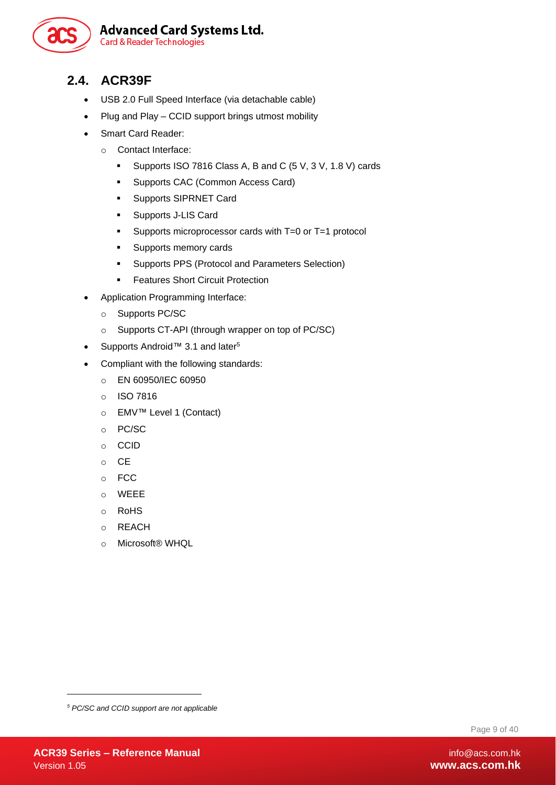

#### <span id="page-8-0"></span>**2.4. ACR39F**

- USB 2.0 Full Speed Interface (via detachable cable)
- Plug and Play CCID support brings utmost mobility
- Smart Card Reader:
	- o Contact Interface:
		- Supports ISO 7816 Class A, B and C (5 V, 3 V, 1.8 V) cards
		- Supports CAC (Common Access Card)
		- **Supports SIPRNET Card**
		- Supports J-LIS Card
		- Supports microprocessor cards with T=0 or T=1 protocol
		- Supports memory cards
		- Supports PPS (Protocol and Parameters Selection)
		- **EXECUTE: Features Short Circuit Protection**
- Application Programming Interface:
	- o Supports PC/SC
	- o Supports CT-API (through wrapper on top of PC/SC)
- Supports Android™ 3.1 and later<sup>5</sup>
- Compliant with the following standards:
	- o EN 60950/IEC 60950
	- o ISO 7816
	- o EMV™ Level 1 (Contact)
	- o PC/SC
	- o CCID
	- o CE
	- o FCC
	- o WEEE
	- o RoHS
	- o REACH
	- o Microsoft® WHQL

Page 9 of 40

*<sup>5</sup> PC/SC and CCID support are not applicable*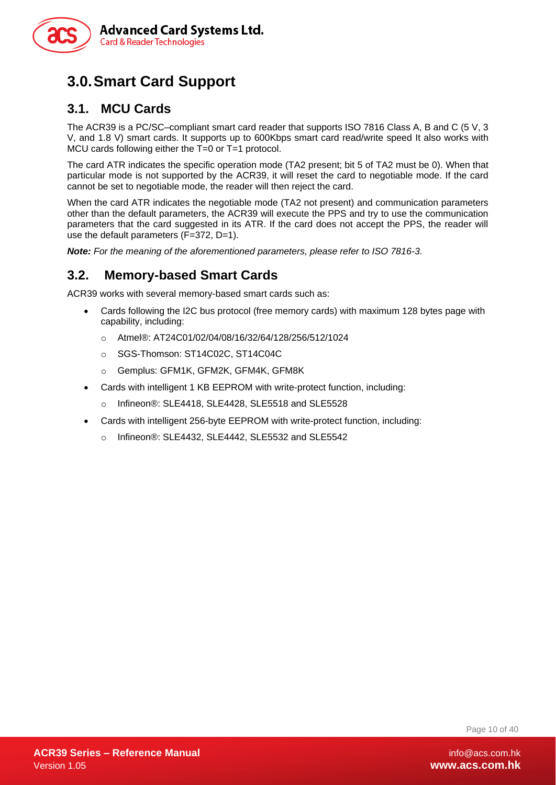

# <span id="page-9-0"></span>**3.0.Smart Card Support**

#### <span id="page-9-1"></span>**3.1. MCU Cards**

The ACR39 is a PC/SC–compliant smart card reader that supports ISO 7816 Class A, B and C (5 V, 3 V, and 1.8 V) smart cards. It supports up to 600Kbps smart card read/write speed It also works with MCU cards following either the T=0 or T=1 protocol.

The card ATR indicates the specific operation mode (TA2 present; bit 5 of TA2 must be 0). When that particular mode is not supported by the ACR39, it will reset the card to negotiable mode. If the card cannot be set to negotiable mode, the reader will then reject the card.

When the card ATR indicates the negotiable mode (TA2 not present) and communication parameters other than the default parameters, the ACR39 will execute the PPS and try to use the communication parameters that the card suggested in its ATR. If the card does not accept the PPS, the reader will use the default parameters (F=372, D=1).

*Note: For the meaning of the aforementioned parameters, please refer to ISO 7816-3.*

#### <span id="page-9-2"></span>**3.2. Memory-based Smart Cards**

ACR39 works with several memory-based smart cards such as:

- Cards following the I2C bus protocol (free memory cards) with maximum 128 bytes page with capability, including:
	- o Atmel®: AT24C01/02/04/08/16/32/64/128/256/512/1024
	- o SGS-Thomson: ST14C02C, ST14C04C
	- o Gemplus: GFM1K, GFM2K, GFM4K, GFM8K
- Cards with intelligent 1 KB EEPROM with write-protect function, including:
	- o Infineon®: SLE4418, SLE4428, SLE5518 and SLE5528
- Cards with intelligent 256-byte EEPROM with write-protect function, including:
	- o Infineon®: SLE4432, SLE4442, SLE5532 and SLE5542

Page 10 of 40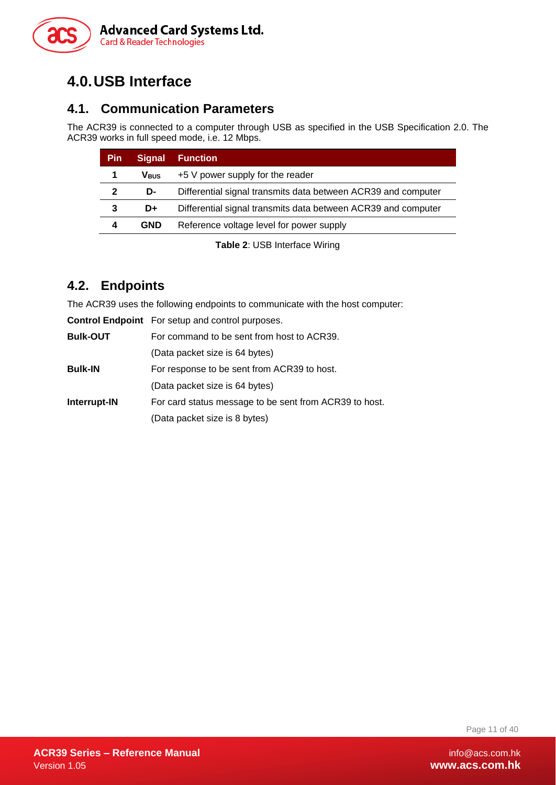

# <span id="page-10-0"></span>**4.0.USB Interface**

#### <span id="page-10-1"></span>**4.1. Communication Parameters**

The ACR39 is connected to a computer through USB as specified in the USB Specification 2.0. The ACR39 works in full speed mode, i.e. 12 Mbps.

| <b>Pin</b>   | <b>Signal</b>           | <b>Function</b>                                               |
|--------------|-------------------------|---------------------------------------------------------------|
|              | <b>V</b> <sub>BUS</sub> | $+5$ V power supply for the reader                            |
| $\mathbf{2}$ | D-                      | Differential signal transmits data between ACR39 and computer |
| 3            | D+                      | Differential signal transmits data between ACR39 and computer |
| 4            | <b>GND</b>              | Reference voltage level for power supply                      |

**Table 2**: USB Interface Wiring

#### <span id="page-10-3"></span><span id="page-10-2"></span>**4.2. Endpoints**

The ACR39 uses the following endpoints to communicate with the host computer:

|                 | <b>Control Endpoint</b> For setup and control purposes. |
|-----------------|---------------------------------------------------------|
| <b>Bulk-OUT</b> | For command to be sent from host to ACR39.              |
|                 | (Data packet size is 64 bytes)                          |
| <b>Bulk-IN</b>  | For response to be sent from ACR39 to host.             |
|                 | (Data packet size is 64 bytes)                          |
| Interrupt-IN    | For card status message to be sent from ACR39 to host.  |
|                 | (Data packet size is 8 bytes)                           |

Page 11 of 40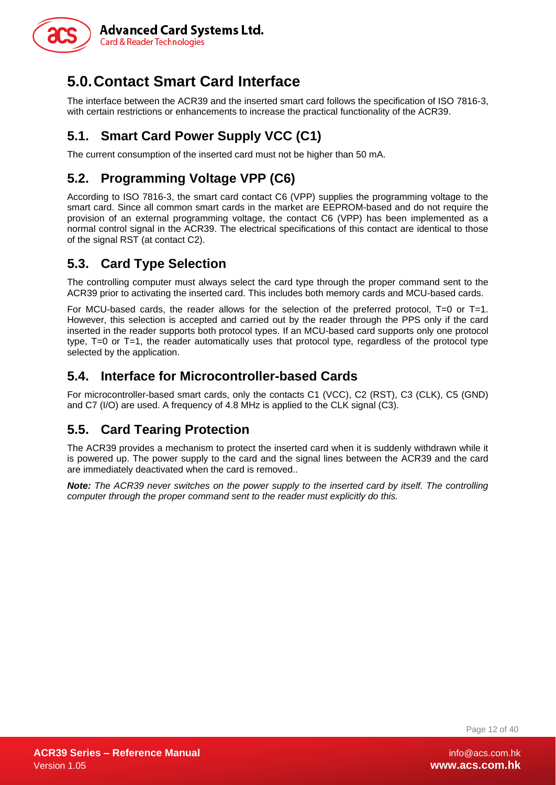

# <span id="page-11-0"></span>**5.0.Contact Smart Card Interface**

The interface between the ACR39 and the inserted smart card follows the specification of ISO 7816-3, with certain restrictions or enhancements to increase the practical functionality of the ACR39.

# <span id="page-11-1"></span>**5.1. Smart Card Power Supply VCC (C1)**

The current consumption of the inserted card must not be higher than 50 mA.

## <span id="page-11-2"></span>**5.2. Programming Voltage VPP (C6)**

According to ISO 7816-3, the smart card contact C6 (VPP) supplies the programming voltage to the smart card. Since all common smart cards in the market are EEPROM-based and do not require the provision of an external programming voltage, the contact C6 (VPP) has been implemented as a normal control signal in the ACR39. The electrical specifications of this contact are identical to those of the signal RST (at contact C2).

#### <span id="page-11-3"></span>**5.3. Card Type Selection**

The controlling computer must always select the card type through the proper command sent to the ACR39 prior to activating the inserted card. This includes both memory cards and MCU-based cards.

For MCU-based cards, the reader allows for the selection of the preferred protocol, T=0 or T=1. However, this selection is accepted and carried out by the reader through the PPS only if the card inserted in the reader supports both protocol types. If an MCU-based card supports only one protocol type, T=0 or T=1, the reader automatically uses that protocol type, regardless of the protocol type selected by the application.

#### <span id="page-11-4"></span>**5.4. Interface for Microcontroller-based Cards**

For microcontroller-based smart cards, only the contacts C1 (VCC), C2 (RST), C3 (CLK), C5 (GND) and C7 (I/O) are used. A frequency of 4.8 MHz is applied to the CLK signal (C3).

### <span id="page-11-5"></span>**5.5. Card Tearing Protection**

The ACR39 provides a mechanism to protect the inserted card when it is suddenly withdrawn while it is powered up. The power supply to the card and the signal lines between the ACR39 and the card are immediately deactivated when the card is removed..

*Note: The ACR39 never switches on the power supply to the inserted card by itself. The controlling computer through the proper command sent to the reader must explicitly do this.*

Page 12 of 40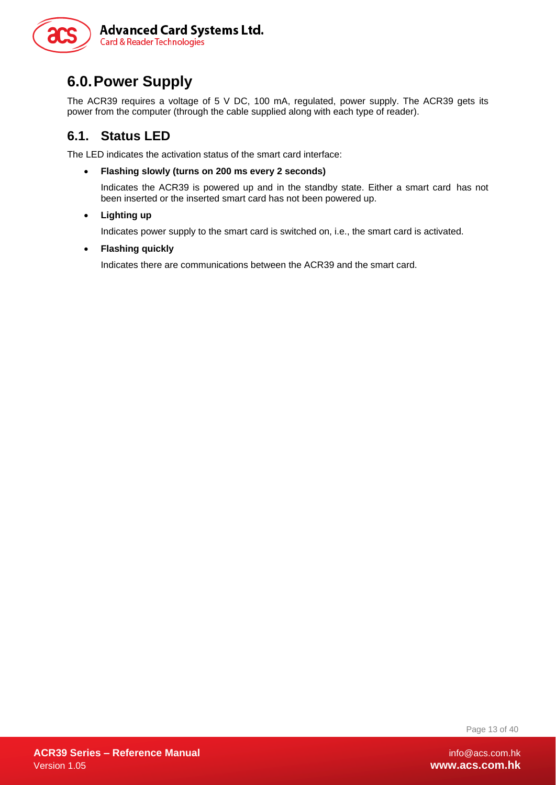

# <span id="page-12-0"></span>**6.0.Power Supply**

The ACR39 requires a voltage of 5 V DC, 100 mA, regulated, power supply. The ACR39 gets its power from the computer (through the cable supplied along with each type of reader).

#### <span id="page-12-1"></span>**6.1. Status LED**

The LED indicates the activation status of the smart card interface:

• **Flashing slowly (turns on 200 ms every 2 seconds)**

Indicates the ACR39 is powered up and in the standby state. Either a smart card has not been inserted or the inserted smart card has not been powered up.

• **Lighting up**

Indicates power supply to the smart card is switched on, i.e., the smart card is activated.

• **Flashing quickly**

Indicates there are communications between the ACR39 and the smart card.

Page 13 of 40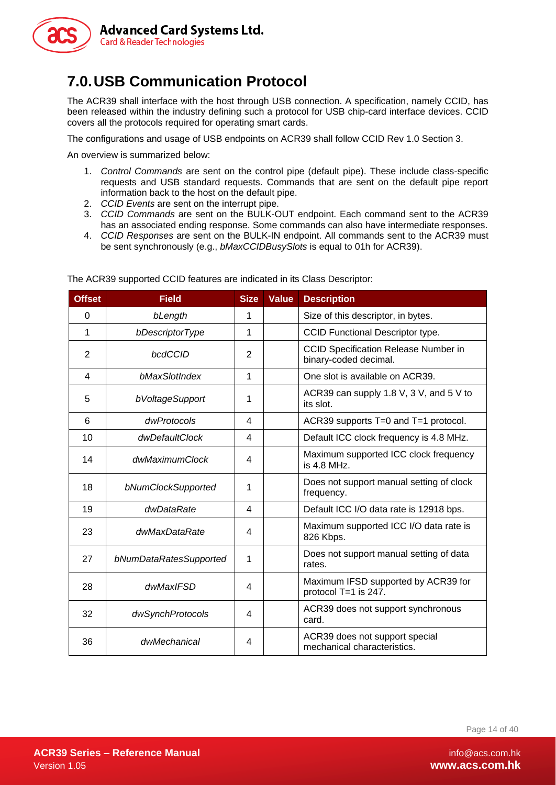

# <span id="page-13-0"></span>**7.0.USB Communication Protocol**

The ACR39 shall interface with the host through USB connection. A specification, namely CCID, has been released within the industry defining such a protocol for USB chip-card interface devices. CCID covers all the protocols required for operating smart cards.

The configurations and usage of USB endpoints on ACR39 shall follow CCID Rev 1.0 Section 3.

An overview is summarized below:

- 1. *Control Commands* are sent on the control pipe (default pipe). These include class-specific requests and USB standard requests. Commands that are sent on the default pipe report information back to the host on the default pipe.
- 2. *CCID Events* are sent on the interrupt pipe.
- 3. *CCID Commands* are sent on the BULK-OUT endpoint. Each command sent to the ACR39 has an associated ending response. Some commands can also have intermediate responses.
- 4. *CCID Responses* are sent on the BULK-IN endpoint. All commands sent to the ACR39 must be sent synchronously (e.g., *bMaxCCIDBusySlots* is equal to 01h for ACR39).

| <b>Offset</b>  | <b>Field</b>           | <b>Size</b>    | <b>Value</b> | <b>Description</b>                                                   |
|----------------|------------------------|----------------|--------------|----------------------------------------------------------------------|
| 0              | bLength                | 1              |              | Size of this descriptor, in bytes.                                   |
| 1              | bDescriptorType        | 1              |              | <b>CCID Functional Descriptor type.</b>                              |
| $\overline{2}$ | bcdCCID                | $\overline{2}$ |              | <b>CCID Specification Release Number in</b><br>binary-coded decimal. |
| 4              | bMaxSlotIndex          | 1              |              | One slot is available on ACR39.                                      |
| 5              | bVoltageSupport        | 1              |              | ACR39 can supply 1.8 V, 3 V, and 5 V to<br>its slot.                 |
| 6              | dwProtocols            | 4              |              | ACR39 supports T=0 and T=1 protocol.                                 |
| 10             | dwDefaultClock         | 4              |              | Default ICC clock frequency is 4.8 MHz.                              |
| 14             | dwMaximumClock         | 4              |              | Maximum supported ICC clock frequency<br>is 4.8 MHz.                 |
| 18             | bNumClockSupported     | 1              |              | Does not support manual setting of clock<br>frequency.               |
| 19             | dwDataRate             | 4              |              | Default ICC I/O data rate is 12918 bps.                              |
| 23             | dwMaxDataRate          | 4              |              | Maximum supported ICC I/O data rate is<br>826 Kbps.                  |
| 27             | bNumDataRatesSupported | 1              |              | Does not support manual setting of data<br>rates.                    |
| 28             | dwMaxIFSD              | 4              |              | Maximum IFSD supported by ACR39 for<br>protocol T=1 is 247.          |
| 32             | dwSynchProtocols       | 4              |              | ACR39 does not support synchronous<br>card.                          |
| 36             | dwMechanical           | 4              |              | ACR39 does not support special<br>mechanical characteristics.        |

The ACR39 supported CCID features are indicated in its Class Descriptor: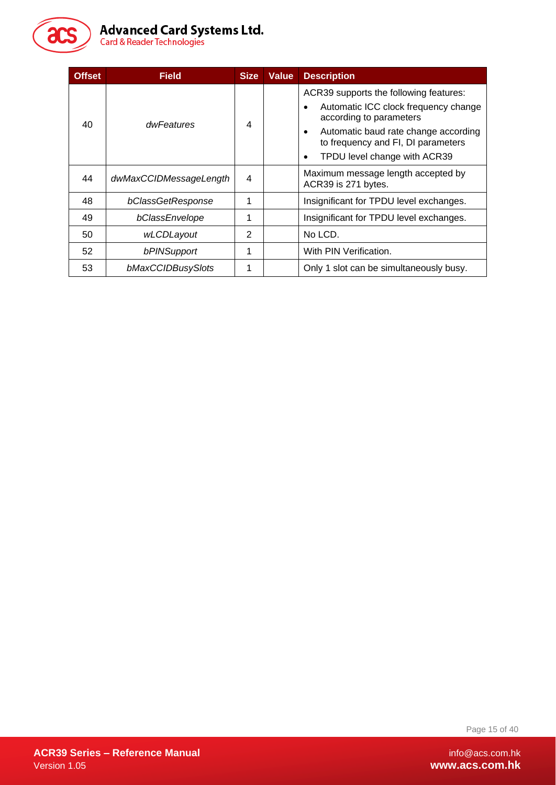

# Advanced Card Systems Ltd.<br>Card & Reader Technologies

| <b>Offset</b> | <b>Field</b>           | <b>Size</b>    | <b>Value</b> | <b>Description</b>                                                           |
|---------------|------------------------|----------------|--------------|------------------------------------------------------------------------------|
|               |                        |                |              | ACR39 supports the following features:                                       |
| 40            | dwFeatures             | 4              |              | Automatic ICC clock frequency change<br>$\bullet$<br>according to parameters |
|               |                        |                |              |                                                                              |
|               |                        |                |              | TPDU level change with ACR39<br>$\bullet$                                    |
| 44            | dwMaxCCIDMessageLength | 4              |              | Maximum message length accepted by<br>ACR39 is 271 bytes.                    |
| 48            | bClassGetResponse      | 1              |              | Insignificant for TPDU level exchanges.                                      |
| 49            | bClassEnvelope         | 1              |              | Insignificant for TPDU level exchanges.                                      |
| 50            | wLCDLayout             | $\overline{2}$ |              | No LCD.                                                                      |
| 52            | bPINSupport            | 1              |              | With PIN Verification.                                                       |
| 53            | bMaxCCIDBusySlots      | 1              |              | Only 1 slot can be simultaneously busy.                                      |

Page 15 of 40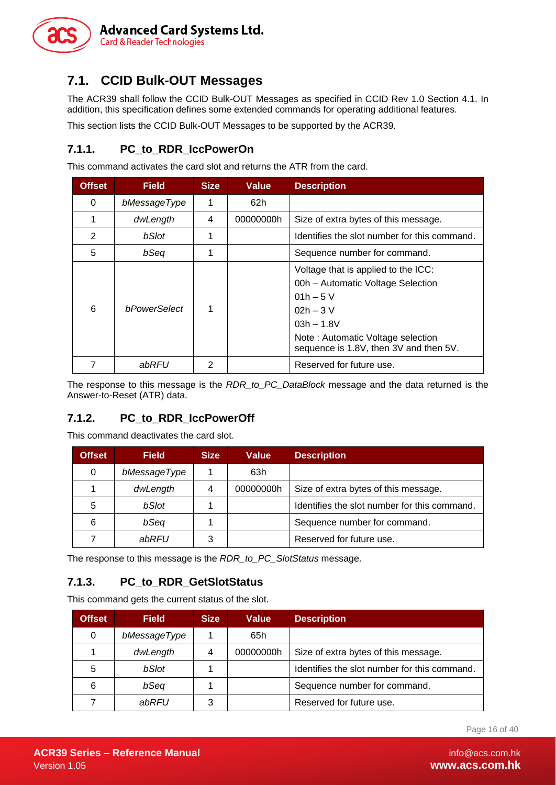

#### <span id="page-15-0"></span>**7.1. CCID Bulk-OUT Messages**

The ACR39 shall follow the CCID Bulk-OUT Messages as specified in CCID Rev 1.0 Section 4.1. In addition, this specification defines some extended commands for operating additional features.

This section lists the CCID Bulk-OUT Messages to be supported by the ACR39.

#### <span id="page-15-1"></span>**7.1.1. PC\_to\_RDR\_IccPowerOn**

This command activates the card slot and returns the ATR from the card.

| <b>Offset</b>  | <b>Field</b>        | <b>Size</b> | <b>Value</b> | <b>Description</b>                                                                                                                                                                                  |
|----------------|---------------------|-------------|--------------|-----------------------------------------------------------------------------------------------------------------------------------------------------------------------------------------------------|
| 0              | bMessageType        | 1           | 62h          |                                                                                                                                                                                                     |
| 1              | dwLength            | 4           | 00000000h    | Size of extra bytes of this message.                                                                                                                                                                |
| $\overline{2}$ | bSlot               |             |              | Identifies the slot number for this command.                                                                                                                                                        |
| 5              | bSeq                |             |              | Sequence number for command.                                                                                                                                                                        |
| 6              | <b>bPowerSelect</b> |             |              | Voltage that is applied to the ICC:<br>00h - Automatic Voltage Selection<br>$01h - 5V$<br>$02h - 3V$<br>$03h - 1.8V$<br>Note: Automatic Voltage selection<br>sequence is 1.8V, then 3V and then 5V. |
|                | abRFU               | 2           |              | Reserved for future use.                                                                                                                                                                            |

The response to this message is the *RDR\_to\_PC\_DataBlock* message and the data returned is the Answer-to-Reset (ATR) data.

#### <span id="page-15-2"></span>**7.1.2. PC\_to\_RDR\_IccPowerOff**

This command deactivates the card slot.

| <b>Offset</b> | <b>Field</b> | <b>Size</b> | <b>Value</b> | <b>Description</b>                           |
|---------------|--------------|-------------|--------------|----------------------------------------------|
| 0             | bMessageType |             | 63h          |                                              |
|               | dwLength     | 4           | 00000000h    | Size of extra bytes of this message.         |
| 5             | bSlot        |             |              | Identifies the slot number for this command. |
| 6             | bSeq         |             |              | Sequence number for command.                 |
|               | abRFU        | 3           |              | Reserved for future use.                     |

The response to this message is the *RDR\_to\_PC\_SlotStatus* message.

#### <span id="page-15-3"></span>**7.1.3. PC\_to\_RDR\_GetSlotStatus**

This command gets the current status of the slot.

| <b>Offset</b> | <b>Field</b> | <b>Size</b> | Value     | <b>Description</b>                           |
|---------------|--------------|-------------|-----------|----------------------------------------------|
| 0             | bMessageType |             | 65h       |                                              |
|               | dwLength     | 4           | 00000000h | Size of extra bytes of this message.         |
| 5             | bSlot        |             |           | Identifies the slot number for this command. |
| 6             | bSeq         |             |           | Sequence number for command.                 |
|               | abRFU        | 3           |           | Reserved for future use.                     |

Page 16 of 40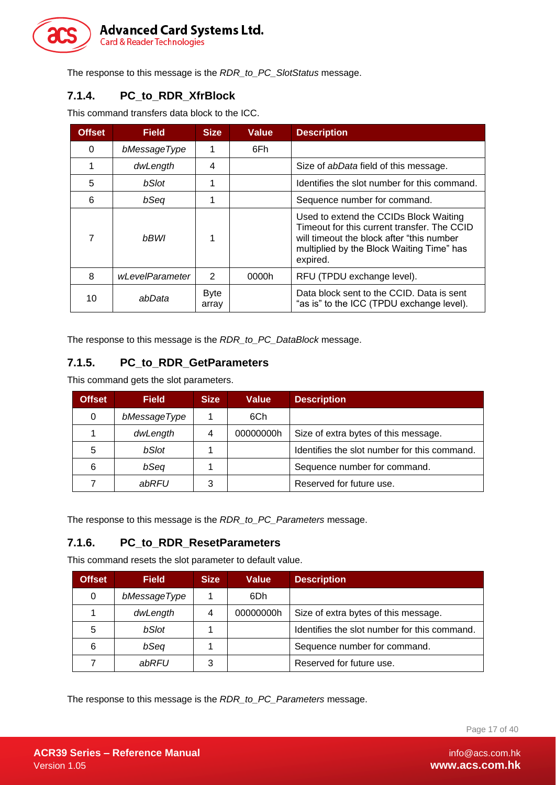

The response to this message is the *RDR\_to\_PC\_SlotStatus* message.

#### <span id="page-16-0"></span>**7.1.4. PC\_to\_RDR\_XfrBlock**

This command transfers data block to the ICC.

| <b>Offset</b> | <b>Field</b>    | <b>Size</b>          | <b>Value</b> | <b>Description</b>                                                                                                                                                                           |
|---------------|-----------------|----------------------|--------------|----------------------------------------------------------------------------------------------------------------------------------------------------------------------------------------------|
| 0             | bMessageType    | 1                    | 6Fh          |                                                                                                                                                                                              |
|               | dwLength        | 4                    |              | Size of <i>abData</i> field of this message.                                                                                                                                                 |
| 5             | bSlot           |                      |              | Identifies the slot number for this command.                                                                                                                                                 |
| 6             | bSeq            |                      |              | Sequence number for command.                                                                                                                                                                 |
|               | <b>bBWI</b>     |                      |              | Used to extend the CCIDs Block Waiting<br>Timeout for this current transfer. The CCID<br>will timeout the block after "this number"<br>multiplied by the Block Waiting Time" has<br>expired. |
| 8             | wLevelParameter | $\mathcal{P}$        | 0000h        | RFU (TPDU exchange level).                                                                                                                                                                   |
| 10            | abData          | <b>Byte</b><br>array |              | Data block sent to the CCID. Data is sent<br>"as is" to the ICC (TPDU exchange level).                                                                                                       |

The response to this message is the *RDR\_to\_PC\_DataBlock* message.

#### <span id="page-16-1"></span>**7.1.5. PC\_to\_RDR\_GetParameters**

This command gets the slot parameters.

| <b>Offset</b> | <b>Field</b> | <b>Size</b> | <b>Value</b> | <b>Description</b>                           |
|---------------|--------------|-------------|--------------|----------------------------------------------|
| 0             | bMessageType |             | 6Ch          |                                              |
|               | dwLength     | 4           | 00000000h    | Size of extra bytes of this message.         |
| 5             | bSlot        |             |              | Identifies the slot number for this command. |
| 6             | bSeq         |             |              | Sequence number for command.                 |
|               | abRFU        | 3           |              | Reserved for future use.                     |

The response to this message is the *RDR\_to\_PC\_Parameters* message.

#### <span id="page-16-2"></span>**7.1.6. PC\_to\_RDR\_ResetParameters**

This command resets the slot parameter to default value.

| <b>Offset</b> | <b>Field</b> | <b>Size</b> | <b>Value</b> | <b>Description</b>                           |  |
|---------------|--------------|-------------|--------------|----------------------------------------------|--|
| 0             | bMessageType |             | 6Dh          |                                              |  |
|               | dwLength     |             | 00000000h    | Size of extra bytes of this message.         |  |
| 5             | bSlot        |             |              | Identifies the slot number for this command. |  |
| 6             | bSeq         |             |              | Sequence number for command.                 |  |
|               | abRFU        |             |              | Reserved for future use.                     |  |

The response to this message is the *RDR\_to\_PC\_Parameters* message.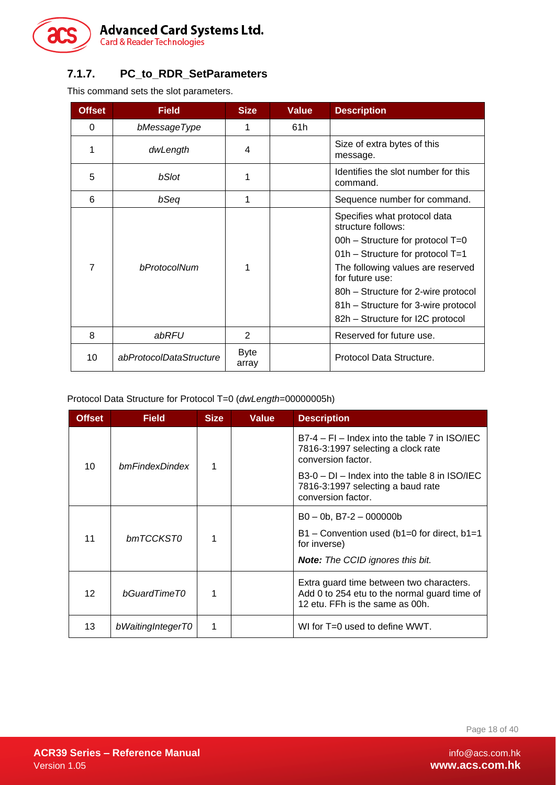

#### <span id="page-17-0"></span>**7.1.7. PC\_to\_RDR\_SetParameters**

This command sets the slot parameters.

| <b>Offset</b> | <b>Field</b>            | <b>Size</b>          | <b>Value</b>                                    | <b>Description</b>                                                                                                                                                                                                                                                                                       |
|---------------|-------------------------|----------------------|-------------------------------------------------|----------------------------------------------------------------------------------------------------------------------------------------------------------------------------------------------------------------------------------------------------------------------------------------------------------|
| 0             | bMessageType            |                      | 61h                                             |                                                                                                                                                                                                                                                                                                          |
| 1             | dwLength                | 4                    |                                                 | Size of extra bytes of this<br>message.                                                                                                                                                                                                                                                                  |
| 5             | bSlot                   |                      | Identifies the slot number for this<br>command. |                                                                                                                                                                                                                                                                                                          |
| 6             | bSeq                    | 1                    |                                                 | Sequence number for command.                                                                                                                                                                                                                                                                             |
| 7             | bProtocolNum            |                      |                                                 | Specifies what protocol data<br>structure follows:<br>00h - Structure for protocol $T=0$<br>$01h$ – Structure for protocol T=1<br>The following values are reserved<br>for future use:<br>80h - Structure for 2-wire protocol<br>81h - Structure for 3-wire protocol<br>82h – Structure for I2C protocol |
| 8             | abRFU                   | 2                    |                                                 | Reserved for future use.                                                                                                                                                                                                                                                                                 |
| 10            | abProtocolDataStructure | <b>Byte</b><br>array |                                                 | Protocol Data Structure.                                                                                                                                                                                                                                                                                 |

Protocol Data Structure for Protocol T=0 (*dwLength*=00000005h)

| Offset          | <b>Field</b>      | <b>Size</b> | <b>Value</b> | <b>Description</b>                                                                                                          |
|-----------------|-------------------|-------------|--------------|-----------------------------------------------------------------------------------------------------------------------------|
| 10              | bmFindexDindex    | 1           |              | $B7-4$ – FI – Index into the table 7 in ISO/IEC<br>7816-3:1997 selecting a clock rate<br>conversion factor.                 |
|                 |                   |             |              | $B3-0$ – DI – Index into the table 8 in $ISO/IEC$<br>7816-3:1997 selecting a baud rate<br>conversion factor.                |
|                 |                   |             |              | $B0 - 0b$ , B7-2 - 000000b                                                                                                  |
| bmTCCKST0<br>11 |                   | 1           |              | $B1 -$ Convention used (b1=0 for direct, b1=1<br>for inverse)                                                               |
|                 |                   |             |              | Note: The CCID ignores this bit.                                                                                            |
| 12              | bGuardTimeT0      | 1           |              | Extra guard time between two characters.<br>Add 0 to 254 etu to the normal guard time of<br>12 etu. FFh is the same as 00h. |
| 13              | bWaitingIntegerT0 | 1           |              | WI for T=0 used to define WWT.                                                                                              |

Page 18 of 40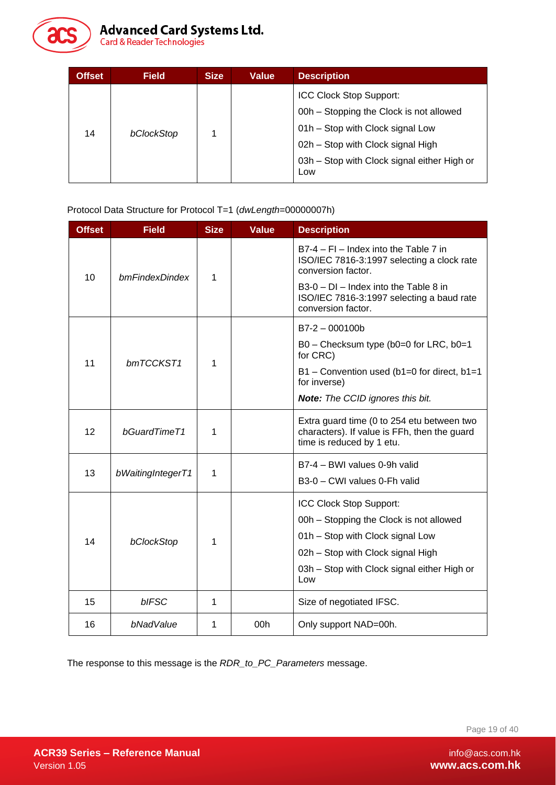

| <b>Offset</b> | <b>Field</b> | <b>Size</b> | <b>Value</b> | <b>Description</b>                                                                                                                                                                                |
|---------------|--------------|-------------|--------------|---------------------------------------------------------------------------------------------------------------------------------------------------------------------------------------------------|
| 14            | bClockStop   |             |              | ICC Clock Stop Support:<br>00h - Stopping the Clock is not allowed<br>01h - Stop with Clock signal Low<br>02h - Stop with Clock signal High<br>03h - Stop with Clock signal either High or<br>Low |

Protocol Data Structure for Protocol T=1 (*dwLength*=00000007h)

| <b>Offset</b> | <b>Field</b>      | <b>Size</b> | <b>Value</b> | <b>Description</b>                                                                                                      |
|---------------|-------------------|-------------|--------------|-------------------------------------------------------------------------------------------------------------------------|
| 10            | bmFindexDindex    |             |              | B7-4 - FI - Index into the Table 7 in<br>ISO/IEC 7816-3:1997 selecting a clock rate<br>conversion factor.               |
|               |                   |             |              | B3-0 - DI - Index into the Table 8 in<br>ISO/IEC 7816-3:1997 selecting a baud rate<br>conversion factor.                |
|               |                   |             |              | $B7-2 - 000100b$                                                                                                        |
|               | 11<br>bmTCCKST1   |             |              | B0 - Checksum type (b0=0 for LRC, b0=1<br>for CRC)                                                                      |
|               |                   | 1           |              | B1 - Convention used (b1=0 for direct, b1=1<br>for inverse)                                                             |
|               |                   |             |              | <b>Note:</b> The CCID ignores this bit.                                                                                 |
| 12            | bGuardTimeT1      | 1           |              | Extra guard time (0 to 254 etu between two<br>characters). If value is FFh, then the guard<br>time is reduced by 1 etu. |
| 13            |                   | 1           |              | B7-4 - BWI values 0-9h valid                                                                                            |
|               | bWaitingIntegerT1 |             |              | B3-0 - CWI values 0-Fh valid                                                                                            |
|               |                   |             |              | ICC Clock Stop Support:                                                                                                 |
|               |                   |             |              | 00h – Stopping the Clock is not allowed                                                                                 |
| 14            | bClockStop        | 1           |              | 01h - Stop with Clock signal Low                                                                                        |
|               |                   |             |              | 02h - Stop with Clock signal High                                                                                       |
|               |                   |             |              | 03h - Stop with Clock signal either High or<br>Low                                                                      |
| 15            | bIFSC             | 1           |              | Size of negotiated IFSC.                                                                                                |
| 16            | bNadValue         | 1           | 00h          | Only support NAD=00h.                                                                                                   |

The response to this message is the *RDR\_to\_PC\_Parameters* message.

Page 19 of 40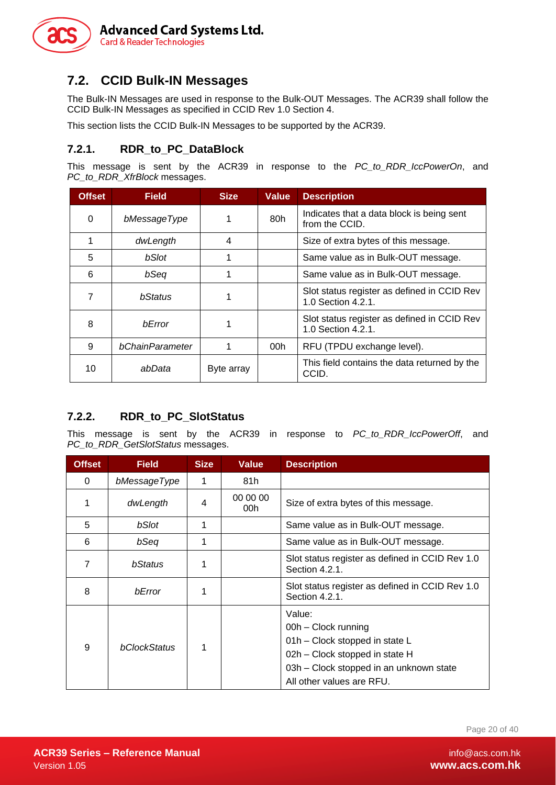

#### <span id="page-19-0"></span>**7.2. CCID Bulk-IN Messages**

The Bulk-IN Messages are used in response to the Bulk-OUT Messages. The ACR39 shall follow the CCID Bulk-IN Messages as specified in CCID Rev 1.0 Section 4.

This section lists the CCID Bulk-IN Messages to be supported by the ACR39.

#### <span id="page-19-1"></span>**7.2.1. RDR\_to\_PC\_DataBlock**

This message is sent by the ACR39 in response to the *PC\_to\_RDR\_IccPowerOn*, and *PC\_to\_RDR\_XfrBlock* messages.

| <b>Offset</b> | <b>Field</b>    | <b>Size</b> | <b>Value</b>    | <b>Description</b>                                                |
|---------------|-----------------|-------------|-----------------|-------------------------------------------------------------------|
| 0             | bMessageType    | 80h<br>1    |                 | Indicates that a data block is being sent<br>from the CCID.       |
|               | dwLength        | 4           |                 | Size of extra bytes of this message.                              |
| 5             | bSlot           |             |                 | Same value as in Bulk-OUT message.                                |
| 6             | bSeq            | 1           |                 | Same value as in Bulk-OUT message.                                |
|               | bStatus         | 1           |                 | Slot status register as defined in CCID Rev<br>1.0 Section 4.2.1. |
| 8             | <b>b</b> Error  |             |                 | Slot status register as defined in CCID Rev<br>1.0 Section 4.2.1. |
| 9             | bChainParameter |             | 00 <sub>h</sub> | RFU (TPDU exchange level).                                        |
| 10            | abData          | Byte array  |                 | This field contains the data returned by the<br>CCID.             |

#### <span id="page-19-2"></span>**7.2.2. RDR\_to\_PC\_SlotStatus**

This message is sent by the ACR39 in response to *PC\_to\_RDR\_IccPowerOff*, and *PC\_to\_RDR\_GetSlotStatus* messages.

| <b>Offset</b>  | <b>Field</b> | <b>Size</b> | <b>Value</b>                                            | <b>Description</b>                                                                                                                                                        |  |
|----------------|--------------|-------------|---------------------------------------------------------|---------------------------------------------------------------------------------------------------------------------------------------------------------------------------|--|
| 0              | bMessageType | 1           | 81h                                                     |                                                                                                                                                                           |  |
|                | dwLength     | 4           | 00 00 00<br>Size of extra bytes of this message.<br>00h |                                                                                                                                                                           |  |
| 5              | bSlot        | 1           |                                                         | Same value as in Bulk-OUT message.                                                                                                                                        |  |
| 6              | bSeq         | 1           | Same value as in Bulk-OUT message.                      |                                                                                                                                                                           |  |
| $\overline{7}$ | bStatus      |             |                                                         | Slot status register as defined in CCID Rev 1.0<br>Section 4.2.1.                                                                                                         |  |
| 8              | bError       | 1           |                                                         | Slot status register as defined in CCID Rev 1.0<br>Section 4.2.1.                                                                                                         |  |
| 9              | bClockStatus | 1           |                                                         | Value:<br>00h - Clock running<br>01h - Clock stopped in state L<br>02h - Clock stopped in state H<br>03h – Clock stopped in an unknown state<br>All other values are RFU. |  |

Page 20 of 40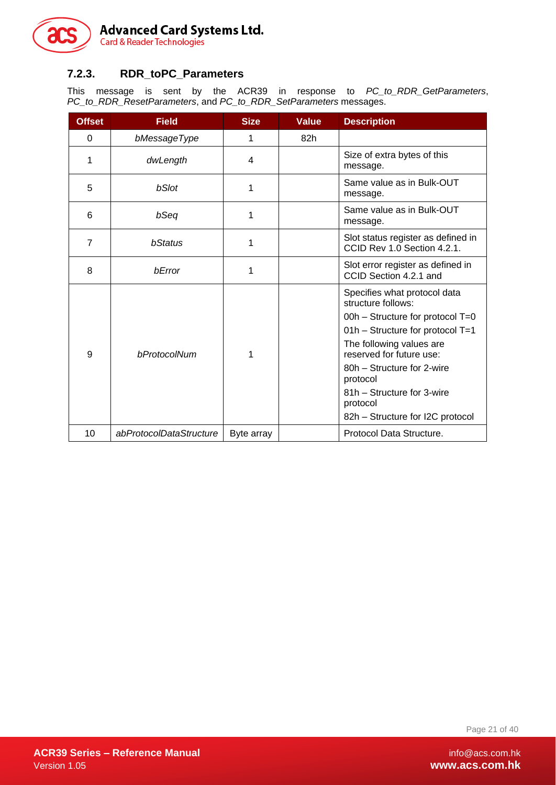

#### <span id="page-20-0"></span>**7.2.3. RDR\_toPC\_Parameters**

This message is sent by the ACR39 in response to *PC\_to\_RDR\_GetParameters*, *PC\_to\_RDR\_ResetParameters*, and *PC\_to\_RDR\_SetParameters* messages.

| <b>Offset</b>  | <b>Field</b>            | <b>Size</b> | <b>Value</b> | <b>Description</b>                                                                                                                                                                                                                                                                                         |
|----------------|-------------------------|-------------|--------------|------------------------------------------------------------------------------------------------------------------------------------------------------------------------------------------------------------------------------------------------------------------------------------------------------------|
| $\Omega$       | bMessageType            | 1           | 82h          |                                                                                                                                                                                                                                                                                                            |
| 1              | dwLength                | 4           |              | Size of extra bytes of this<br>message.                                                                                                                                                                                                                                                                    |
| 5              | bSlot                   | 1           |              | Same value as in Bulk-OUT<br>message.                                                                                                                                                                                                                                                                      |
| 6              | bSeq                    | 1           |              | Same value as in Bulk-OUT<br>message.                                                                                                                                                                                                                                                                      |
| $\overline{7}$ | bStatus                 | 1           |              | Slot status register as defined in<br>CCID Rev 1.0 Section 4.2.1.                                                                                                                                                                                                                                          |
| 8              | bError                  | 1           |              | Slot error register as defined in<br>CCID Section 4.2.1 and                                                                                                                                                                                                                                                |
| 9              | bProtocolNum            | 1           |              | Specifies what protocol data<br>structure follows:<br>00h - Structure for protocol T=0<br>01h - Structure for protocol T=1<br>The following values are<br>reserved for future use:<br>80h - Structure for 2-wire<br>protocol<br>81h - Structure for 3-wire<br>protocol<br>82h – Structure for I2C protocol |
| 10             | abProtocolDataStructure | Byte array  |              | Protocol Data Structure.                                                                                                                                                                                                                                                                                   |

Page 21 of 40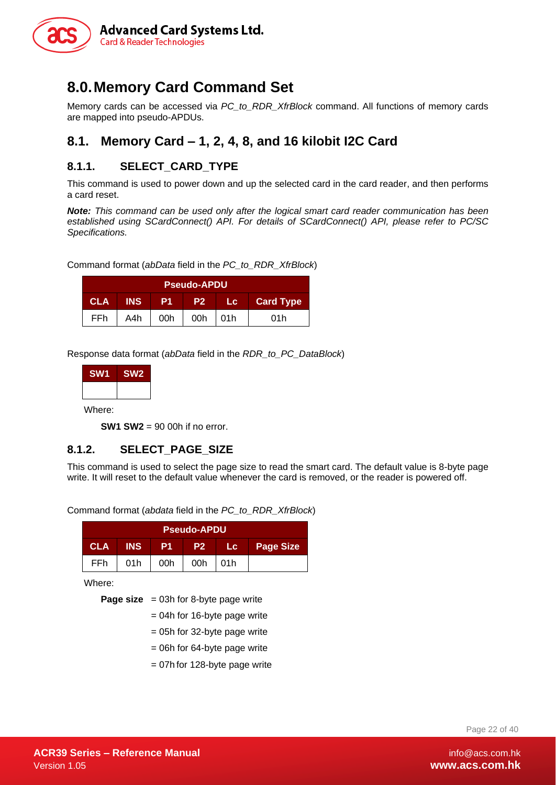

# <span id="page-21-0"></span>**8.0.Memory Card Command Set**

Memory cards can be accessed via *PC\_to\_RDR\_XfrBlock* command. All functions of memory cards are mapped into pseudo-APDUs.

#### <span id="page-21-1"></span>**8.1. Memory Card – 1, 2, 4, 8, and 16 kilobit I2C Card**

#### <span id="page-21-2"></span>**8.1.1. SELECT\_CARD\_TYPE**

This command is used to power down and up the selected card in the card reader, and then performs a card reset.

*Note: This command can be used only after the logical smart card reader communication has been established using SCardConnect() API. For details of SCardConnect() API, please refer to PC/SC Specifications.*

Command format (*abData* field in the *PC\_to\_RDR\_XfrBlock*)

| <b>Pseudo-APDU</b>                                                                   |     |     |           |  |     |  |
|--------------------------------------------------------------------------------------|-----|-----|-----------|--|-----|--|
| <b>Card Type</b><br><b>CLA</b><br><b>INS</b><br>- P1.<br><b>4227</b><br><b>TIGAL</b> |     |     |           |  |     |  |
| FFh.                                                                                 | A4h | 00h | $00h$ 01h |  | 01h |  |

Response data format (*abData* field in the *RDR\_to\_PC\_DataBlock*)

| <b>SW1</b> | <b>SW2</b> |
|------------|------------|
|            |            |
| --         |            |

Where:

**SW1 SW2** = 90 00h if no error.

#### <span id="page-21-3"></span>**8.1.2. SELECT\_PAGE\_SIZE**

This command is used to select the page size to read the smart card. The default value is 8-byte page write. It will reset to the default value whenever the card is removed, or the reader is powered off.

Command format (*abdata* field in the *PC\_to\_RDR\_XfrBlock*)

| <b>Pseudo-APDU</b>                                                    |     |     |     |       |  |  |  |
|-----------------------------------------------------------------------|-----|-----|-----|-------|--|--|--|
| <b>INS</b><br><b>CLA</b><br><b>Page Size</b><br>-P1<br>- P2 -<br>Lc - |     |     |     |       |  |  |  |
| <b>FFh</b>                                                            | 01h | 00h | 00h | l 01h |  |  |  |

Where:

**Page size** = 03h for 8-byte page write

- = 04h for 16-byte page write
- = 05h for 32-byte page write
- = 06h for 64-byte page write
- = 07h for 128-byte page write

Page 22 of 40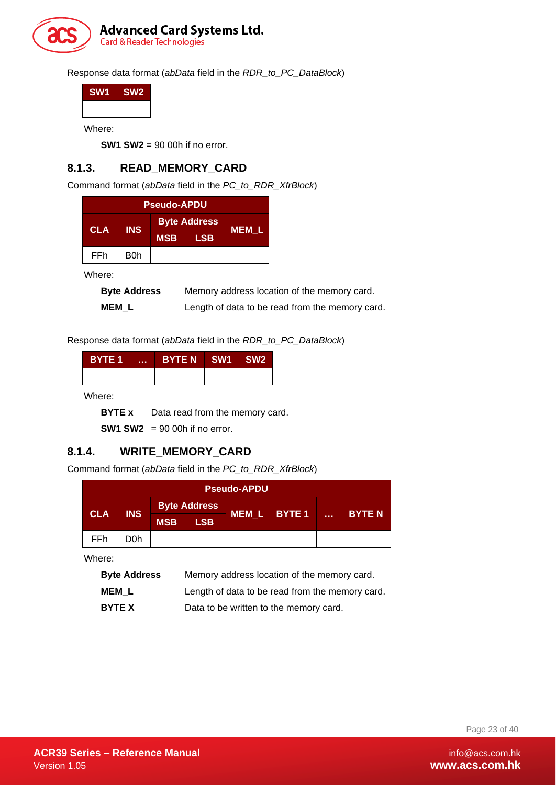

Response data format (*abData* field in the *RDR\_to\_PC\_DataBlock*)

| SW <sub>1</sub> | SW <sub>2</sub> |
|-----------------|-----------------|
|                 |                 |
|                 |                 |

Where:

**SW1 SW2** = 90 00h if no error.

#### <span id="page-22-0"></span>**8.1.3. READ\_MEMORY\_CARD**

Command format (*abData* field in the *PC\_to\_RDR\_XfrBlock*)

|            |            | <b>Pseudo-APDU</b> |                     |       |
|------------|------------|--------------------|---------------------|-------|
| <b>CLA</b> | <b>INS</b> |                    | <b>Byte Address</b> |       |
|            |            | <b>MSB</b>         | <b>LSB</b>          | MEM L |
| <b>FFh</b> | B0h        |                    |                     |       |

Where:

| <b>Byte Address</b> | Memory address location of the memory card.     |
|---------------------|-------------------------------------------------|
| <b>MEML</b>         | Length of data to be read from the memory card. |

Response data format (*abData* field in the *RDR\_to\_PC\_DataBlock*)

| <b>BYTE 1</b> | <b>A 8 8 8</b> | BYTE N SW1 SW2 |  |
|---------------|----------------|----------------|--|
|               |                |                |  |

Where:

**BYTE x** Data read from the memory card.

**SW1 SW2** = 90 00h if no error.

#### <span id="page-22-1"></span>**8.1.4. WRITE\_MEMORY\_CARD**

Command format (*abData* field in the *PC\_to\_RDR\_XfrBlock*)

|            |            |            |                     | <b>Pseudo-APDU</b> |        |       |               |
|------------|------------|------------|---------------------|--------------------|--------|-------|---------------|
|            |            |            | <b>Byte Address</b> |                    |        |       |               |
| <b>CLA</b> | <b>INS</b> | <b>MSB</b> | <b>LSB</b>          | MEM L              | BYTE 1 | a sin | <b>BYTE N</b> |
| FFh.       | D0h        |            |                     |                    |        |       |               |

Where:

| <b>Byte Address</b> | Memory address location of the memory card.     |
|---------------------|-------------------------------------------------|
| <b>MEML</b>         | Length of data to be read from the memory card. |
| <b>BYTE X</b>       | Data to be written to the memory card.          |

Page 23 of 40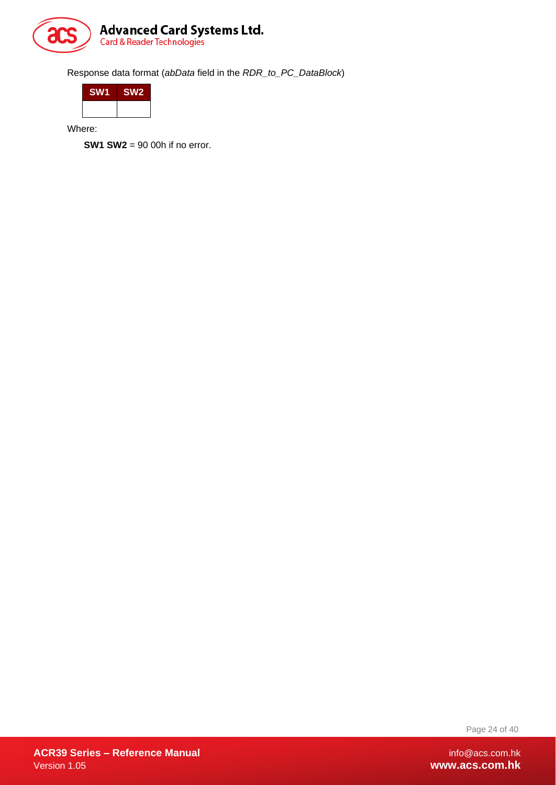

Response data format (*abData* field in the *RDR\_to\_PC\_DataBlock*)

| <b>SW1</b> | SW <sub>2</sub> |
|------------|-----------------|
|            |                 |

Where:

**SW1 SW2** = 90 00h if no error.

Page 24 of 40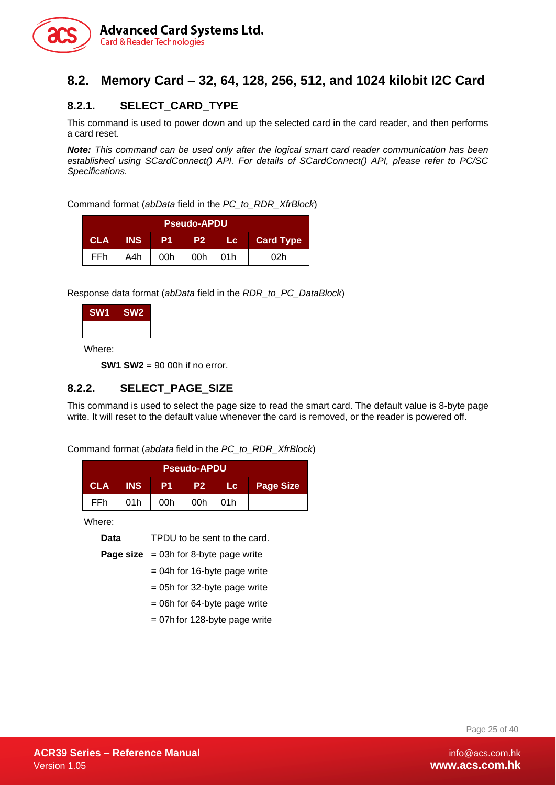

#### <span id="page-24-0"></span>**8.2. Memory Card – 32, 64, 128, 256, 512, and 1024 kilobit I2C Card**

#### <span id="page-24-1"></span>**8.2.1. SELECT\_CARD\_TYPE**

This command is used to power down and up the selected card in the card reader, and then performs a card reset.

*Note: This command can be used only after the logical smart card reader communication has been established using SCardConnect() API. For details of SCardConnect() API, please refer to PC/SC Specifications.* 

Command format (*abData* field in the *PC\_to\_RDR\_XfrBlock*)

|            |            |     | <b>Pseudo-APDU</b> |     |                  |
|------------|------------|-----|--------------------|-----|------------------|
| <b>CLA</b> | <b>INS</b> | P1  | P <sub>2</sub>     |     | <b>Card Type</b> |
| FFh        | A4h        | 00h | 00h                | 01h | 02h              |

Response data format (*abData* field in the *RDR\_to\_PC\_DataBlock*)

| SW <sub>1</sub> | SW <sub>2</sub> |
|-----------------|-----------------|
|                 |                 |

Where:

**SW1 SW2** = 90 00h if no error.

#### <span id="page-24-2"></span>**8.2.2. SELECT\_PAGE\_SIZE**

This command is used to select the page size to read the smart card. The default value is 8-byte page write. It will reset to the default value whenever the card is removed, or the reader is powered off.

Command format (*abdata* field in the *PC\_to\_RDR\_XfrBlock*)

|            |            |     | <b>Pseudo-APDU</b> |      |                  |
|------------|------------|-----|--------------------|------|------------------|
| <b>CLA</b> | <b>INS</b> | P1  | IP27               | Lc.  | <b>Page Size</b> |
| FFh        | 01h        | 00h | 00h                | .01h |                  |

Where:

**Data** TPDU to be sent to the card.

**Page size** = 03h for 8-byte page write

- = 04h for 16-byte page write
- = 05h for 32-byte page write
- = 06h for 64-byte page write
- = 07h for 128-byte page write

Page 25 of 40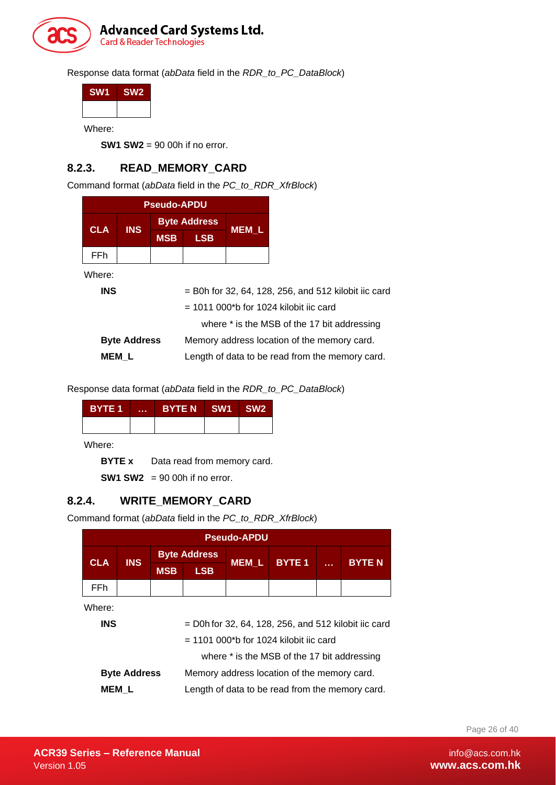

Response data format (*abData* field in the *RDR\_to\_PC\_DataBlock*)

| SW <sub>1</sub> | SW <sub>2</sub> |
|-----------------|-----------------|
|                 |                 |
|                 |                 |

Where:

**SW1 SW2** = 90 00h if no error.

#### <span id="page-25-0"></span>**8.2.3. READ\_MEMORY\_CARD**

Command format (*abData* field in the *PC\_to\_RDR\_XfrBlock*)

|            | <b>Pseudo-APDU</b>  |            |                     |                                                        |  |
|------------|---------------------|------------|---------------------|--------------------------------------------------------|--|
| <b>CLA</b> | IN <sub>S</sub>     |            | <b>Byte Address</b> | MEM L                                                  |  |
|            |                     | <b>MSB</b> | <b>LSB</b>          |                                                        |  |
| FFh.       |                     |            |                     |                                                        |  |
| Where:     |                     |            |                     |                                                        |  |
| <b>INS</b> |                     |            |                     | $=$ B0h for 32, 64, 128, 256, and 512 kilobit iic card |  |
|            |                     |            |                     | $=$ 1011 000*b for 1024 kilobit iic card               |  |
|            |                     |            |                     | where * is the MSB of the 17 bit addressing            |  |
|            | <b>Byte Address</b> |            |                     | Memory address location of the memory card.            |  |
|            | <b>MEM L</b>        |            |                     | Length of data to be read from the memory card.        |  |

Response data format (*abData* field in the *RDR\_to\_PC\_DataBlock*)

| BYTE 1 | <b>A 8 8 8</b> | BYTE N SW1 SW2 |  |
|--------|----------------|----------------|--|
|        |                |                |  |

Where:

**BYTE x** Data read from memory card.

**SW1 SW2** = 90 00h if no error.

#### <span id="page-25-1"></span>**8.2.4. WRITE\_MEMORY\_CARD**

Command format (*abData* field in the *PC\_to\_RDR\_XfrBlock*)

|            | <b>Pseudo-APDU</b>  |            |                                                        |              |              |  |              |
|------------|---------------------|------------|--------------------------------------------------------|--------------|--------------|--|--------------|
| <b>CLA</b> | <b>INS</b>          |            | <b>Byte Address</b>                                    |              | <b>BYTE1</b> |  | <b>BYTEN</b> |
|            |                     | <b>MSB</b> | <b>LSB</b>                                             | <b>MEM L</b> |              |  |              |
| FFh.       |                     |            |                                                        |              |              |  |              |
| Where:     |                     |            |                                                        |              |              |  |              |
| <b>INS</b> |                     |            | $=$ D0h for 32, 64, 128, 256, and 512 kilobit iic card |              |              |  |              |
|            |                     |            | $= 1101 000$ <sup>*</sup> b for 1024 kilobit ijc card  |              |              |  |              |
|            |                     |            | where * is the MSB of the 17 bit addressing            |              |              |  |              |
|            | <b>Byte Address</b> |            | Memory address location of the memory card.            |              |              |  |              |
|            | MEM L               |            | Length of data to be read from the memory card.        |              |              |  |              |

Page 26 of 40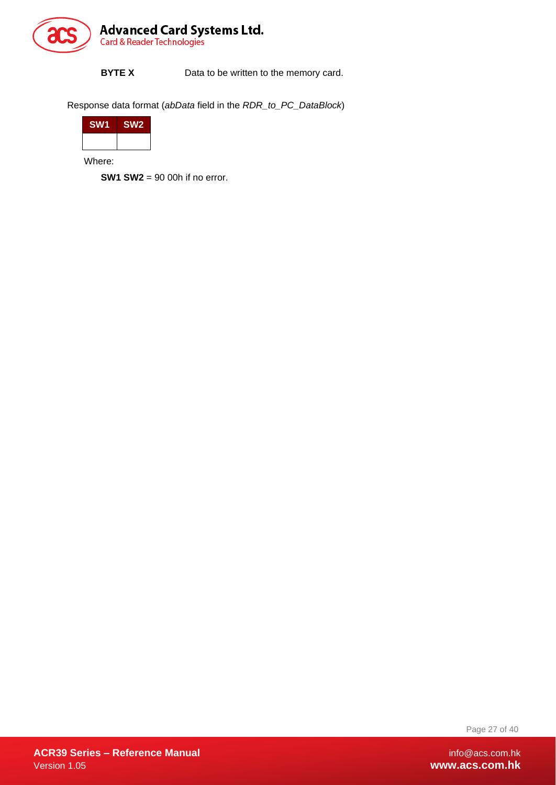

**BYTE X** Data to be written to the memory card.

Response data format (*abData* field in the *RDR\_to\_PC\_DataBlock*)

| <b>SW1</b> | SW <sub>2</sub> |
|------------|-----------------|
|            |                 |

Where:

**SW1 SW2** = 90 00h if no error.

Page 27 of 40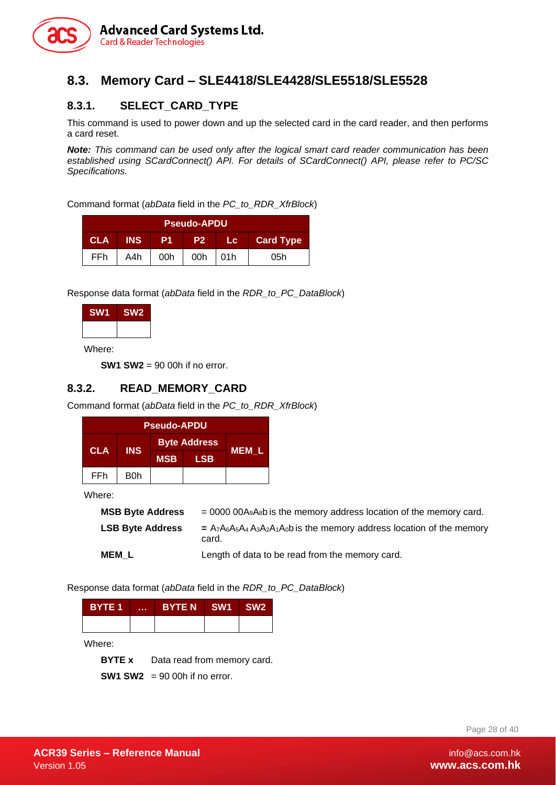

#### <span id="page-27-0"></span>**8.3. Memory Card – SLE4418/SLE4428/SLE5518/SLE5528**

#### <span id="page-27-1"></span>**8.3.1. SELECT\_CARD\_TYPE**

This command is used to power down and up the selected card in the card reader, and then performs a card reset.

*Note: This command can be used only after the logical smart card reader communication has been established using SCardConnect() API. For details of SCardConnect() API, please refer to PC/SC Specifications.*

Command format (*abData* field in the *PC\_to\_RDR\_XfrBlock*)

| <b>Pseudo-APDU</b> |            |                |           |      |                  |
|--------------------|------------|----------------|-----------|------|------------------|
| <b>CLA</b>         | <b>INS</b> | P <sub>1</sub> | <b>P2</b> | Lc 1 | <b>Card Type</b> |
| <b>FFh</b>         | A4h        | 00h            | 00h       | 01h  | 05h              |

Response data format (*abData* field in the *RDR\_to\_PC\_DataBlock*)

| <b>SW1</b> | SW <sub>2</sub> |
|------------|-----------------|
|            |                 |

Where:

**SW1 SW2** = 90 00h if no error.

#### <span id="page-27-2"></span>**8.3.2. READ\_MEMORY\_CARD**

Command format (*abData* field in the *PC\_to\_RDR\_XfrBlock*)

| <b>Pseudo-APDU</b> |            |            |                     |              |
|--------------------|------------|------------|---------------------|--------------|
|                    | <b>INS</b> |            | <b>Byte Address</b> |              |
| <b>CLA</b>         |            | <b>MSB</b> | <b>LSB</b>          | <b>MEM L</b> |
| FFh                | B0h        |            |                     |              |

Where:

| <b>MSB Byte Address</b> | $= 0000 00A_9A_8b$ is the memory address location of the memory card.                |
|-------------------------|--------------------------------------------------------------------------------------|
| <b>LSB Byte Address</b> | $= A_7A_6A_5A_4A_3A_2A_1A_0$ b is the memory address location of the memory<br>card. |
| <b>MEM L</b>            | Length of data to be read from the memory card.                                      |

Response data format (*abData* field in the *RDR\_to\_PC\_DataBlock*)

| BYTE 1 | <b>A 8 8 8</b> | BYTE N SW1 SW2 |  |
|--------|----------------|----------------|--|
|        |                |                |  |

Where:

**BYTE x** Data read from memory card.

**SW1 SW2** = 90 00h if no error.

Page 28 of 40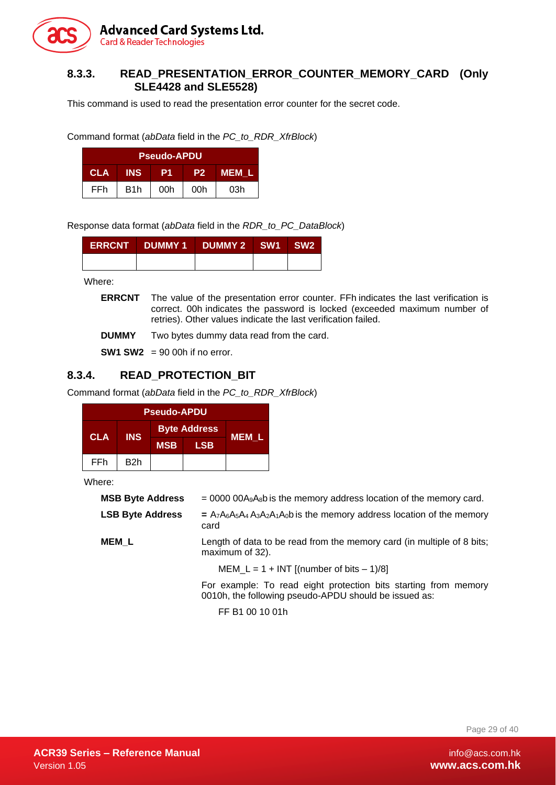

#### <span id="page-28-0"></span>**8.3.3. READ\_PRESENTATION\_ERROR\_COUNTER\_MEMORY\_CARD (Only SLE4428 and SLE5528)**

This command is used to read the presentation error counter for the secret code.

Command format (*abData* field in the *PC\_to\_RDR\_XfrBlock*)

|            |                  | <b>Pseudo-APDU</b> |                |       |
|------------|------------------|--------------------|----------------|-------|
| <b>CLA</b> | <b>INS</b>       | P1                 | P <sub>2</sub> | MEM L |
| FFh        | B <sub>1</sub> h | 00h                | 00h            | 03h   |

Response data format (*abData* field in the *RDR\_to\_PC\_DataBlock*)

| ERRCNT DUMMY1 DUMMY2 SW1 SW2 |  |  |
|------------------------------|--|--|
|                              |  |  |

Where:

**ERRCNT** The value of the presentation error counter. FFh indicates the last verification is correct. 00h indicates the password is locked (exceeded maximum number of retries). Other values indicate the last verification failed.

**DUMMY** Two bytes dummy data read from the card.

**SW1 SW2** = 90 00h if no error.

#### <span id="page-28-1"></span>**8.3.4. READ\_PROTECTION\_BIT**

Command format (*abData* field in the *PC\_to\_RDR\_XfrBlock*)

| <b>Pseudo-APDU</b> |            |                     |            |              |
|--------------------|------------|---------------------|------------|--------------|
|                    |            | <b>Byte Address</b> |            |              |
| <b>CLA</b>         | <b>INS</b> | <b>MSB</b>          | <b>LSB</b> | <b>MEM L</b> |
| FFh                | B2h        |                     |            |              |

Where:

| <b>MSB Byte Address</b> | $= 0000 00A_9A_8b$ is the memory address location of the memory card.                                                    |  |  |  |
|-------------------------|--------------------------------------------------------------------------------------------------------------------------|--|--|--|
| <b>LSB Byte Address</b> | $= A_7A_6A_5A_4A_3A_2A_1A_0$ is the memory address location of the memory<br>card                                        |  |  |  |
| <b>MEM L</b>            | Length of data to be read from the memory card (in multiple of 8 bits;<br>maximum of 32).                                |  |  |  |
|                         | $MEM_L = 1 + INT$ [(number of bits $-1/8$ ]                                                                              |  |  |  |
|                         | For example: To read eight protection bits starting from memory<br>0010h, the following pseudo-APDU should be issued as: |  |  |  |
|                         | FF B1 00 10 01h                                                                                                          |  |  |  |

Page 29 of 40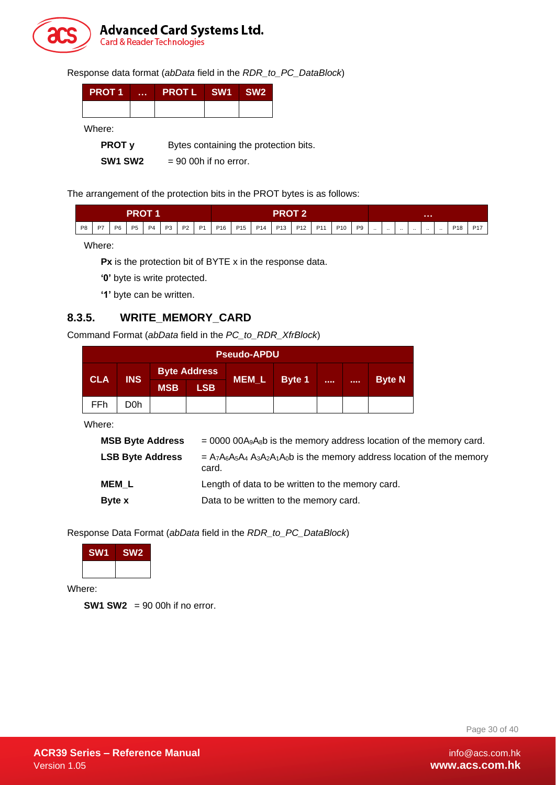

Response data format (*abData* field in the *RDR\_to\_PC\_DataBlock*)

| <b>PROT 1</b> | <b>ALC N</b> | PROTL SW1 SW2 |  |
|---------------|--------------|---------------|--|
|               |              |               |  |

Where:

**PROT y** Bytes containing the protection bits.

**SW1 SW2** = 90 00h if no error.

The arrangement of the protection bits in the PROT bytes is as follows:

|                |    |    | PROT 1 |  |  |  | PROT 2'                                                               |  |  |          |        |          |          |          |           |                 |                 |
|----------------|----|----|--------|--|--|--|-----------------------------------------------------------------------|--|--|----------|--------|----------|----------|----------|-----------|-----------------|-----------------|
| P <sub>8</sub> | P7 | P6 |        |  |  |  | P5   P4   P3   P2   P1   P16   P15   P14   P13   P12   P11   P10   P9 |  |  | $\cdots$ | $\sim$ | $\cdots$ | $\cdots$ | $\cdots$ | $\ddotsc$ | P <sub>18</sub> | P <sub>17</sub> |

Where:

**Px** is the protection bit of BYTE x in the response data.

**'0'** byte is write protected.

**'1'** byte can be written.

#### <span id="page-29-0"></span>**8.3.5. WRITE\_MEMORY\_CARD**

Command Format (*abData* field in the *PC\_to\_RDR\_XfrBlock*)

|            | <b>Pseudo-APDU</b> |            |                     |              |        |  |  |               |
|------------|--------------------|------------|---------------------|--------------|--------|--|--|---------------|
|            | <b>INS</b>         |            | <b>Byte Address</b> |              |        |  |  |               |
| <b>CLA</b> |                    | <b>MSB</b> | <b>LSB</b>          | <b>MEM_L</b> | Byte 1 |  |  | <b>Byte N</b> |
| <b>FFh</b> | D0h                |            |                     |              |        |  |  |               |

Where:

| <b>MSB Byte Address</b> | $= 0000000A_9A_8b$ is the memory address location of the memory card.               |
|-------------------------|-------------------------------------------------------------------------------------|
| <b>LSB Byte Address</b> | $= A_7A_6A_5A_4A_3A_2A_1A_0b$ is the memory address location of the memory<br>card. |
| <b>MEM L</b>            | Length of data to be written to the memory card.                                    |
| Byte x                  | Data to be written to the memory card.                                              |

Response Data Format (*abData* field in the *RDR\_to\_PC\_DataBlock*)



Where:

**SW1 SW2** = 90 00h if no error.

Page 30 of 40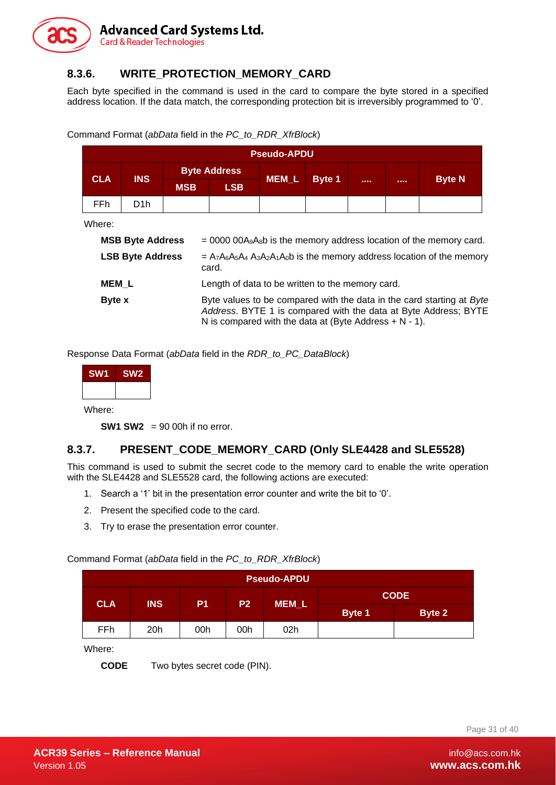

#### <span id="page-30-0"></span>**8.3.6. WRITE\_PROTECTION\_MEMORY\_CARD**

Each byte specified in the command is used in the card to compare the byte stored in a specified address location. If the data match, the corresponding protection bit is irreversibly programmed to '0'.

|              |                         |            |                                                                                                                                                                                                       | <b>Pseudo-APDU</b> |        |  |  |               |  |
|--------------|-------------------------|------------|-------------------------------------------------------------------------------------------------------------------------------------------------------------------------------------------------------|--------------------|--------|--|--|---------------|--|
|              |                         |            | <b>Byte Address</b>                                                                                                                                                                                   |                    |        |  |  |               |  |
| <b>CLA</b>   | <b>INS</b>              | <b>MSB</b> | <b>LSB</b>                                                                                                                                                                                            | <b>MEM L</b>       | Byte 1 |  |  | <b>Byte N</b> |  |
| FFh.         | D <sub>1</sub> h        |            |                                                                                                                                                                                                       |                    |        |  |  |               |  |
| Where:       |                         |            |                                                                                                                                                                                                       |                    |        |  |  |               |  |
|              | <b>MSB Byte Address</b> |            | $= 0000 00A_9A_8b$ is the memory address location of the memory card.                                                                                                                                 |                    |        |  |  |               |  |
|              | <b>LSB Byte Address</b> |            | $= A_7A_6A_5A_4A_3A_2A_1A_0$ b is the memory address location of the memory<br>card.                                                                                                                  |                    |        |  |  |               |  |
| <b>MEM L</b> |                         |            | Length of data to be written to the memory card.                                                                                                                                                      |                    |        |  |  |               |  |
| Byte x       |                         |            | Byte values to be compared with the data in the card starting at Byte<br>Address. BYTE 1 is compared with the data at Byte Address; BYTE<br>N is compared with the data at (Byte Address $+ N - 1$ ). |                    |        |  |  |               |  |

Command Format (*abData* field in the *PC\_to\_RDR\_XfrBlock*)

Response Data Format (*abData* field in the *RDR\_to\_PC\_DataBlock*)

| SW <sub>2</sub> |
|-----------------|
|                 |
|                 |

Where:

**SW1 SW2** = 90 00h if no error.

#### <span id="page-30-1"></span>**8.3.7. PRESENT\_CODE\_MEMORY\_CARD (Only SLE4428 and SLE5528)**

This command is used to submit the secret code to the memory card to enable the write operation with the SLE4428 and SLE5528 card, the following actions are executed:

- 1. Search a '1' bit in the presentation error counter and write the bit to '0'.
- 2. Present the specified code to the card.
- 3. Try to erase the presentation error counter.

Command Format (*abData* field in the *PC\_to\_RDR\_XfrBlock*)

|            | <b>Pseudo-APDU</b> |                |                |              |               |        |  |  |
|------------|--------------------|----------------|----------------|--------------|---------------|--------|--|--|
| <b>CLA</b> | <b>INS</b>         | P <sub>1</sub> | P <sub>2</sub> |              | <b>CODE</b>   |        |  |  |
|            |                    |                |                | <b>MEM_L</b> | <b>Byte 1</b> | Byte 2 |  |  |
| FFh        | 20 <sub>h</sub>    | 00h            | 00h            | 02h          |               |        |  |  |

Where:

**CODE** Two bytes secret code (PIN).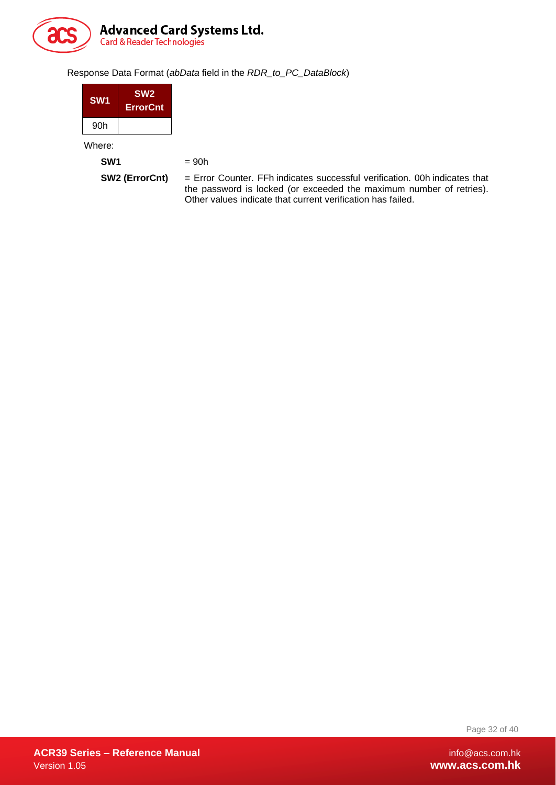

#### Response Data Format (*abData* field in the *RDR\_to\_PC\_DataBlock*)

| SW <sub>1</sub> | SW <sub>2</sub><br><b>ErrorCnt</b> |  |
|-----------------|------------------------------------|--|
| 90h             |                                    |  |
| Where:          |                                    |  |

**SW1**  $= 90h$ 

**SW2 (ErrorCnt)** = Error Counter. FFh indicates successful verification. 00h indicates that the password is locked (or exceeded the maximum number of retries). Other values indicate that current verification has failed.

Page 32 of 40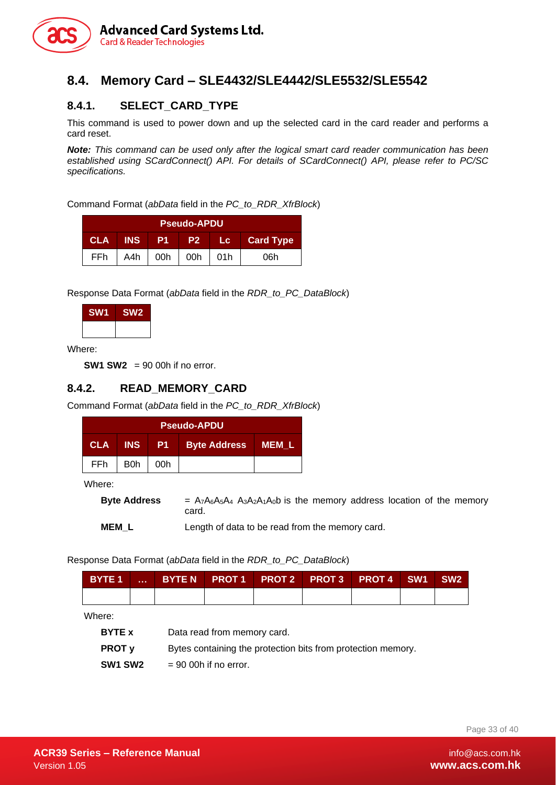

#### <span id="page-32-0"></span>**8.4. Memory Card – SLE4432/SLE4442/SLE5532/SLE5542**

#### <span id="page-32-1"></span>**8.4.1. SELECT\_CARD\_TYPE**

This command is used to power down and up the selected card in the card reader and performs a card reset.

*Note: This command can be used only after the logical smart card reader communication has been established using SCardConnect() API. For details of SCardConnect() API, please refer to PC/SC specifications.*

Command Format (*abData* field in the *PC\_to\_RDR\_XfrBlock*)

| <b>Pseudo-APDU</b> |            |     |                |     |                  |  |  |
|--------------------|------------|-----|----------------|-----|------------------|--|--|
| CLA                | <b>INS</b> | P1  | P <sub>2</sub> | ∴Lc | <b>Card Type</b> |  |  |
| <b>FFh</b>         | A4h        | 00h | 00h            | 01h | 06h              |  |  |

Response Data Format (*abData* field in the *RDR\_to\_PC\_DataBlock*)



Where:

**SW1 SW2** = 90 00h if no error.

#### <span id="page-32-2"></span>**8.4.2. READ\_MEMORY\_CARD**

Command Format (*abData* field in the *PC\_to\_RDR\_XfrBlock*)

| <b>Pseudo-APDU</b> |            |           |                     |       |  |  |  |
|--------------------|------------|-----------|---------------------|-------|--|--|--|
| <b>CLA</b>         | <b>INS</b> | <b>P1</b> | <b>Byte Address</b> | MEM L |  |  |  |
| FFh.               | B0h        | 00h       |                     |       |  |  |  |

Where:

**Byte Address**  $= A_7A_6A_5A_4 A_3A_2A_1A_0$  is the memory address location of the memory card.

**MEM\_L** Length of data to be read from the memory card.

Response Data Format (*abData* field in the *RDR\_to\_PC\_DataBlock*)

|  | BYTE 1      BYTE N   PROT 1   PROT 2   PROT 3   PROT 4   SW1   SW2 |  |  |  |
|--|--------------------------------------------------------------------|--|--|--|
|  |                                                                    |  |  |  |

Where:

| <b>BYTE x</b>                   | Data read from memory card.                                  |
|---------------------------------|--------------------------------------------------------------|
| <b>PROT v</b>                   | Bytes containing the protection bits from protection memory. |
| SW <sub>1</sub> SW <sub>2</sub> | $= 90$ 00h if no error.                                      |

Page 33 of 40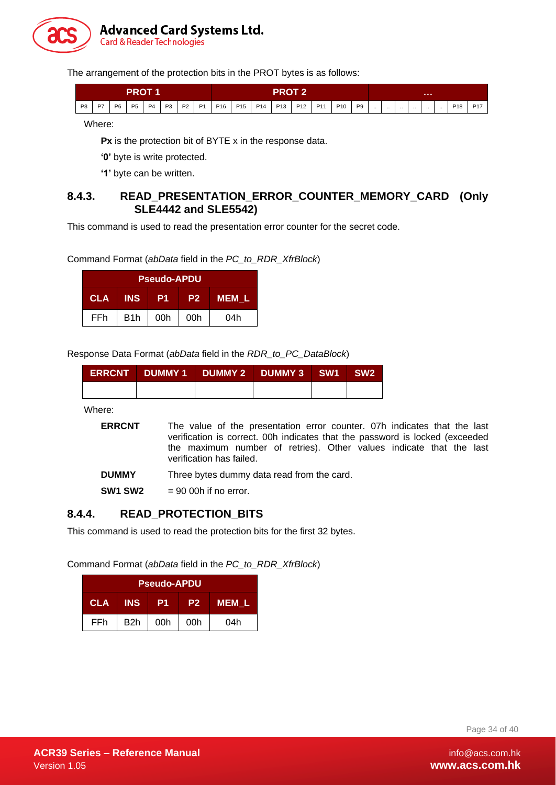

The arrangement of the protection bits in the PROT bytes is as follows:

| PROT |    |                |                |           | PRNT 2<br>. . |       |                |     |                 |                 |                 |         |  |                 |                |          |          |          |           |          |  |                 |            |
|------|----|----------------|----------------|-----------|---------------|-------|----------------|-----|-----------------|-----------------|-----------------|---------|--|-----------------|----------------|----------|----------|----------|-----------|----------|--|-----------------|------------|
| P8   | D7 | P <sub>6</sub> | P <sub>5</sub> | <b>P4</b> |               | P3 P2 | P <sub>1</sub> | P16 | P <sub>15</sub> | P <sub>14</sub> | P <sub>13</sub> | P12 P11 |  | P <sub>10</sub> | P <sub>9</sub> | $\cdots$ | $\cdots$ | $\cdots$ | $\cdot$ . | $\cdots$ |  | P <sub>18</sub> | <b>P17</b> |

Where:

**Px** is the protection bit of BYTE x in the response data.

'0' byte is write protected.

**'1'** byte can be written.

#### <span id="page-33-0"></span>**8.4.3. READ\_PRESENTATION\_ERROR\_COUNTER\_MEMORY\_CARD (Only SLE4442 and SLE5542)**

This command is used to read the presentation error counter for the secret code.

Command Format (*abData* field in the *PC\_to\_RDR\_XfrBlock*)

|            |                  | <b>Pseudo-APDU</b> |                |              |
|------------|------------------|--------------------|----------------|--------------|
| <b>CLA</b> | <b>INS</b>       | P1                 | P <sub>2</sub> | <b>MEM L</b> |
| FFh        | B <sub>1</sub> h | 00h                | 00h            | 04h          |

Response Data Format (*abData* field in the *RDR\_to\_PC\_DataBlock*)

|  | ERRCNT DUMMY 1 DUMMY 2 DUMMY 3 SW1 SW2 |  |
|--|----------------------------------------|--|
|  |                                        |  |

Where:

| <b>ERRCNT</b> | The value of the presentation error counter. 07h indicates that the last                                                                            |
|---------------|-----------------------------------------------------------------------------------------------------------------------------------------------------|
|               | verification is correct. Ooh indicates that the password is locked (exceeded<br>the maximum number of retries). Other values indicate that the last |
|               | verification has failed.                                                                                                                            |

**DUMMY** Three bytes dummy data read from the card.

**SW1 SW2** = 90 00h if no error.

#### <span id="page-33-1"></span>**8.4.4. READ\_PROTECTION\_BITS**

This command is used to read the protection bits for the first 32 bytes.

Command Format (*abData* field in the *PC\_to\_RDR\_XfrBlock*)

|            |            | <b>Pseudo-APDU</b> |                |              |
|------------|------------|--------------------|----------------|--------------|
| <b>CLA</b> | <b>INS</b> | P1                 | P <sub>2</sub> | <b>MEM L</b> |
| FFh        | B2h        | 00h                | 00h            | 04h          |

Page 34 of 40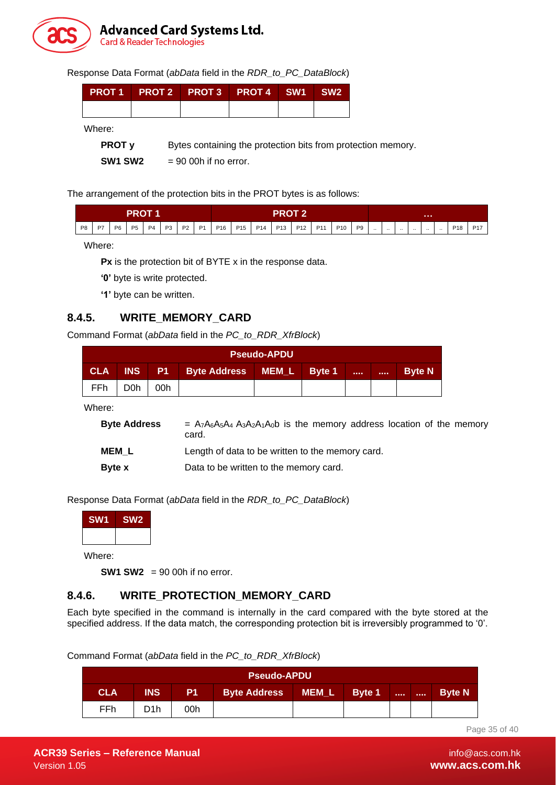

Response Data Format (*abData* field in the *RDR\_to\_PC\_DataBlock*)

| PROT1 PROT2 PROT3 PROT4 SW1 SW2 |  |  |
|---------------------------------|--|--|
|                                 |  |  |

Where:

**PROT y** Bytes containing the protection bits from protection memory.

**SW1 SW2** = 90 00h if no error.

The arrangement of the protection bits in the PROT bytes is as follows:

| <b>PROT 1</b> |           |             |                |           | PROT |                |  |          |  |         | .           |  |  |                 |    |         |          |          |        |          |          |                 |       |
|---------------|-----------|-------------|----------------|-----------|------|----------------|--|----------|--|---------|-------------|--|--|-----------------|----|---------|----------|----------|--------|----------|----------|-----------------|-------|
| P8            | <b>P7</b> | <b>P6</b> 1 | P <sub>5</sub> | <b>P4</b> | P3   | P <sub>2</sub> |  | P1   P16 |  | P15 P14 | P13 P12 P11 |  |  | P <sub>10</sub> | P9 | $\cdot$ | $\cdots$ | $\cdots$ | $\sim$ | $\cdots$ | $\cdots$ | P <sub>18</sub> | . P17 |

Where:

**Px** is the protection bit of BYTE x in the response data.

'0' byte is write protected.

**'1'** byte can be written.

#### <span id="page-34-0"></span>**8.4.5. WRITE\_MEMORY\_CARD**

Command Format (*abData* field in the *PC\_to\_RDR\_XfrBlock*)

|            | <b>Pseudo-APDU</b> |     |                                    |  |  |              |                  |               |  |  |  |  |  |
|------------|--------------------|-----|------------------------------------|--|--|--------------|------------------|---------------|--|--|--|--|--|
| <b>CLA</b> | <b>INS</b>         |     | P1   Byte Address   MEM_L   Byte 1 |  |  | <b>STATE</b> | <b>A 8 8 8 1</b> | <b>Byte N</b> |  |  |  |  |  |
| FFh.       | D0h                | 00h |                                    |  |  |              |                  |               |  |  |  |  |  |

Where:

| <b>Byte Address</b> | $= A_7A_6A_5A_4 A_3A_2A_1A_0b$ is the memory address location of the memory<br>card. |
|---------------------|--------------------------------------------------------------------------------------|
| <b>MEM L</b>        | Length of data to be written to the memory card.                                     |
| <b>Byte x</b>       | Data to be written to the memory card.                                               |

Response Data Format (*abData* field in the *RDR\_to\_PC\_DataBlock*)



Where:

**SW1 SW2** = 90 00h if no error.

#### <span id="page-34-1"></span>**8.4.6. WRITE\_PROTECTION\_MEMORY\_CARD**

Each byte specified in the command is internally in the card compared with the byte stored at the specified address. If the data match, the corresponding protection bit is irreversibly programmed to '0'.

Command Format (*abData* field in the *PC\_to\_RDR\_XfrBlock*)

|     | <b>Pseudo-APDU</b> |           |                     |       |        |  |       |               |  |  |  |  |  |
|-----|--------------------|-----------|---------------------|-------|--------|--|-------|---------------|--|--|--|--|--|
| CLA | INS                | <b>P1</b> | <b>Byte Address</b> | MEM_L | Byte 1 |  | 10000 | <b>Byte N</b> |  |  |  |  |  |
| FFh |                    | 00h       |                     |       |        |  |       |               |  |  |  |  |  |

Page 35 of 40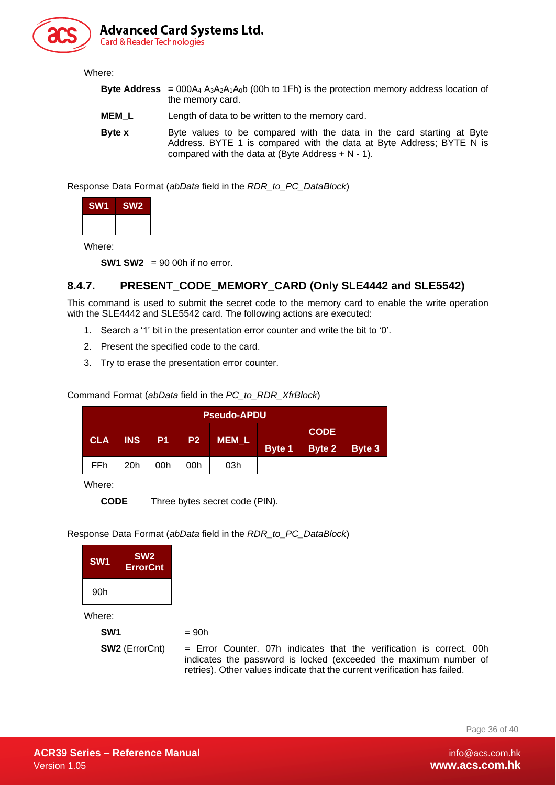

#### Where:

- **Byte Address** =  $000A_4$   $A_3A_2A_1A_0$  (00h to 1Fh) is the protection memory address location of the memory card.
- **MEM\_L** Length of data to be written to the memory card.
- **Byte x** Byte values to be compared with the data in the card starting at Byte Address. BYTE 1 is compared with the data at Byte Address; BYTE N is compared with the data at (Byte Address  $+ N - 1$ ).

Response Data Format (*abData* field in the *RDR\_to\_PC\_DataBlock*)

| SW <sub>1</sub> | SW <sub>2</sub> |
|-----------------|-----------------|
|                 |                 |

Where:

**SW1 SW2** = 90 00h if no error.

#### <span id="page-35-0"></span>**8.4.7. PRESENT\_CODE\_MEMORY\_CARD (Only SLE4442 and SLE5542)**

This command is used to submit the secret code to the memory card to enable the write operation with the SLE4442 and SLE5542 card. The following actions are executed:

- 1. Search a '1' bit in the presentation error counter and write the bit to '0'.
- 2. Present the specified code to the card.
- 3. Try to erase the presentation error counter.

Command Format (*abData* field in the *PC\_to\_RDR\_XfrBlock*)

|            | <b>Pseudo-APDU</b> |                |                |              |  |               |               |  |  |  |  |  |
|------------|--------------------|----------------|----------------|--------------|--|---------------|---------------|--|--|--|--|--|
|            | <b>INS</b>         |                |                |              |  | <b>CODE</b>   |               |  |  |  |  |  |
| <b>CLA</b> |                    | P <sub>1</sub> | P <sub>2</sub> | <b>MEM L</b> |  | Byte 1 Byte 2 | <b>Byte 3</b> |  |  |  |  |  |
| FFh        | 20 <sub>h</sub>    | 00h            | 00h            | 03h          |  |               |               |  |  |  |  |  |

Where:

**CODE** Three bytes secret code (PIN).

Response Data Format (*abData* field in the *RDR\_to\_PC\_DataBlock*)

| SW <sub>1</sub> | SW <sub>2</sub><br><b>ErrorCnt</b> |                                                                                                                                                                                                                         |
|-----------------|------------------------------------|-------------------------------------------------------------------------------------------------------------------------------------------------------------------------------------------------------------------------|
| 90h             |                                    |                                                                                                                                                                                                                         |
| Where:          |                                    |                                                                                                                                                                                                                         |
| SW <sub>1</sub> |                                    | $= 90h$                                                                                                                                                                                                                 |
|                 | <b>SW2</b> (ErrorCnt)              | $=$ Error Counter, 07h indicates that the verification is correct, 00h<br>indicates the password is locked (exceeded the maximum number of<br>retries). Other values indicate that the current verification has failed. |

Page 36 of 40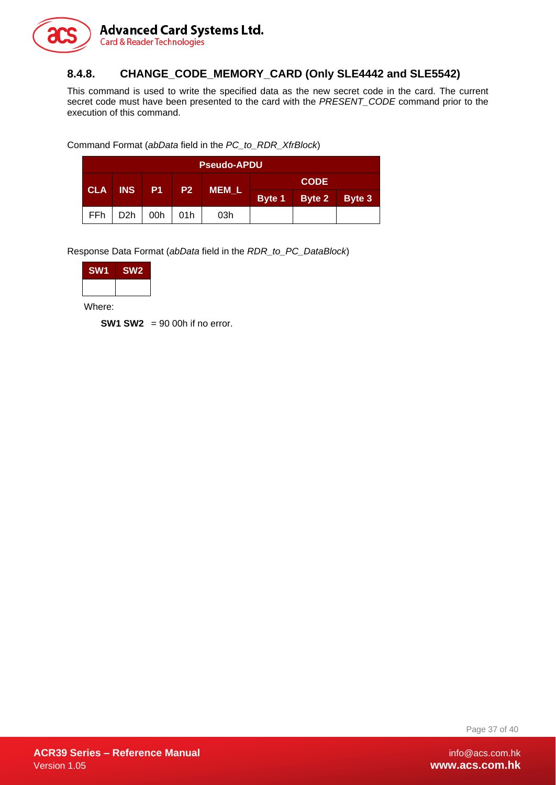

#### <span id="page-36-0"></span>**8.4.8. CHANGE\_CODE\_MEMORY\_CARD (Only SLE4442 and SLE5542)**

This command is used to write the specified data as the new secret code in the card. The current secret code must have been presented to the card with the *PRESENT\_CODE* command prior to the execution of this command.

Command Format (*abData* field in the *PC\_to\_RDR\_XfrBlock*)

| <b>Pseudo-APDU</b> |                  |              |     |              |             |               |  |  |
|--------------------|------------------|--------------|-----|--------------|-------------|---------------|--|--|
|                    |                  | <b>P1</b> P2 |     |              | <b>CODE</b> |               |  |  |
| <b>CLA</b>         | <b>INS</b>       |              |     | <b>MEM L</b> | Byte 1      | Byte 2 Byte 3 |  |  |
| <b>FFh</b>         | D <sub>2</sub> h | 00h          | 01h | 03h          |             |               |  |  |

Response Data Format (*abData* field in the *RDR\_to\_PC\_DataBlock*)

| <b>SW1</b> | SW <sub>2</sub> |
|------------|-----------------|
|            |                 |

Where:

**SW1 SW2** = 90 00h if no error.

Page 37 of 40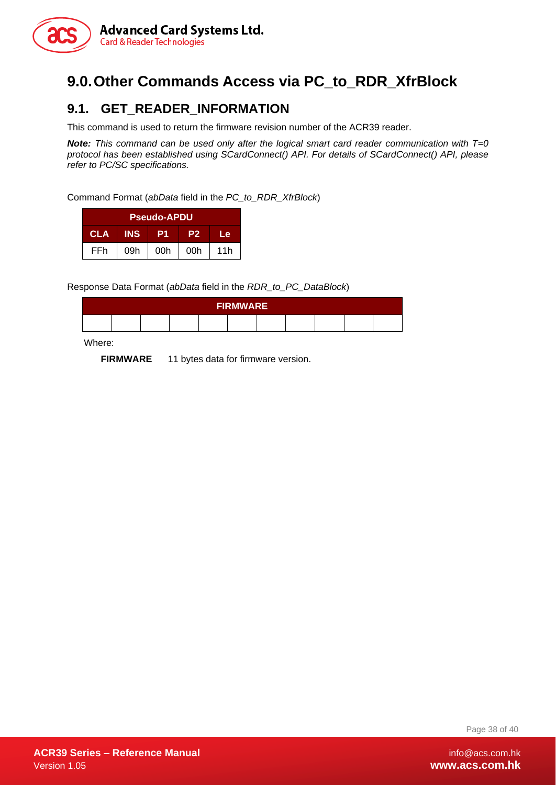

# <span id="page-37-0"></span>**9.0.Other Commands Access via PC\_to\_RDR\_XfrBlock**

#### <span id="page-37-1"></span>**9.1. GET\_READER\_INFORMATION**

This command is used to return the firmware revision number of the ACR39 reader.

*Note: This command can be used only after the logical smart card reader communication with T=0 protocol has been established using SCardConnect() API. For details of SCardConnect() API, please refer to PC/SC specifications.*

Command Format (*abData* field in the *PC\_to\_RDR\_XfrBlock*)

| <b>Pseudo-APDU</b> |            |     |                |     |  |  |
|--------------------|------------|-----|----------------|-----|--|--|
| <b>CLA</b>         | <b>INS</b> |     | P <sub>2</sub> | Le  |  |  |
| FFh                | 09h        | 00h | 00h            | 11h |  |  |

Response Data Format (*abData* field in the *RDR\_to\_PC\_DataBlock*)

| <b>FIRMWARE</b> |  |  |  |  |  |  |  |  |  |  |
|-----------------|--|--|--|--|--|--|--|--|--|--|
|                 |  |  |  |  |  |  |  |  |  |  |

Where:

**FIRMWARE** 11 bytes data for firmware version.

Page 38 of 40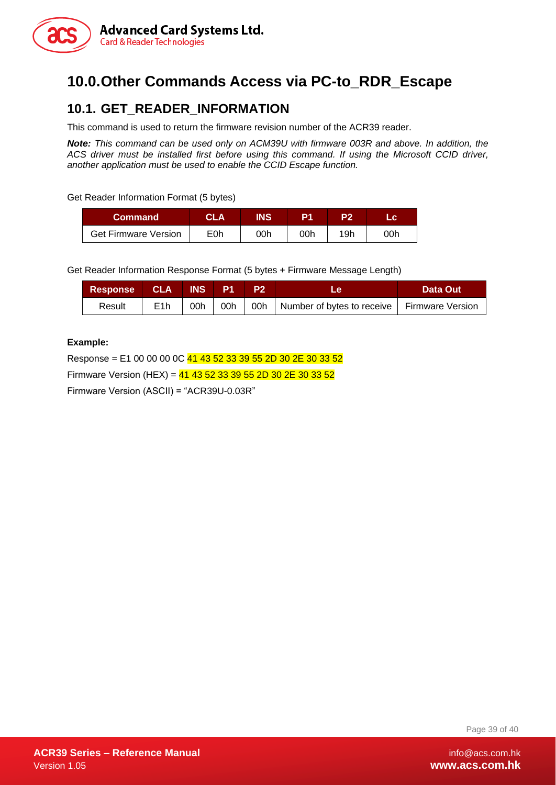

# <span id="page-38-0"></span>**10.0.Other Commands Access via PC-to\_RDR\_Escape**

#### <span id="page-38-1"></span>**10.1. GET\_READER\_INFORMATION**

This command is used to return the firmware revision number of the ACR39 reader.

*Note: This command can be used only on ACM39U with firmware 003R and above. In addition, the ACS driver must be installed first before using this command. If using the Microsoft CCID driver, another application must be used to enable the CCID Escape function.*

Get Reader Information Format (5 bytes)

| <b>Command</b>              | CLA | INS |     |     |     |
|-----------------------------|-----|-----|-----|-----|-----|
| <b>Get Firmware Version</b> | E0h | 00h | 00h | 19h | ገ0h |

Get Reader Information Response Format (5 bytes + Firmware Message Length)

| Response CLA INS P1 |                  |     | $\mathsf{P}2$ | Le.                                                       | <b>Data Out</b> |
|---------------------|------------------|-----|---------------|-----------------------------------------------------------|-----------------|
| Result              | E <sub>1</sub> h | 00h |               | 00h   00h   Number of bytes to receive   Firmware Version |                 |

#### **Example:**

Response = E1 00 00 00 0C 41 43 52 33 39 55 2D 30 2E 30 33 52 Firmware Version (HEX) =  $41$  43 52 33 39 55 2D 30 2E 30 33 52 Firmware Version (ASCII) = "ACR39U-0.03R"

Page 39 of 40